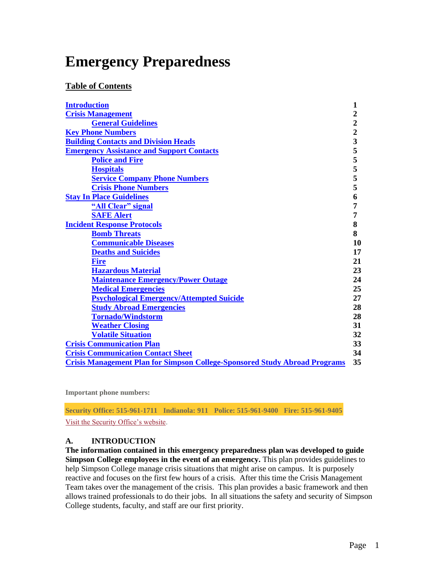# **Emergency Preparedness**

# **Table of Contents**

| <b>Introduction</b>                                                               | 1                       |
|-----------------------------------------------------------------------------------|-------------------------|
| <b>Crisis Management</b>                                                          | $\overline{c}$          |
| <b>General Guidelines</b>                                                         | $\overline{2}$          |
| <b>Key Phone Numbers</b>                                                          | $\overline{2}$          |
| <b>Building Contacts and Division Heads</b>                                       | $\overline{\mathbf{3}}$ |
| <b>Emergency Assistance and Support Contacts</b>                                  | 5                       |
| <b>Police and Fire</b>                                                            | 5                       |
| <b>Hospitals</b>                                                                  | 5                       |
| <b>Service Company Phone Numbers</b>                                              | 5                       |
| <b>Crisis Phone Numbers</b>                                                       | 5                       |
| <b>Stay In Place Guidelines</b>                                                   | 6                       |
| "All Clear" signal                                                                | 7                       |
| <b>SAFE Alert</b>                                                                 | 7                       |
| <b>Incident Response Protocols</b>                                                | 8                       |
| <b>Bomb Threats</b>                                                               | 8                       |
| <b>Communicable Diseases</b>                                                      | 10                      |
| <b>Deaths and Suicides</b>                                                        | 17                      |
| <b>Fire</b>                                                                       | 21                      |
| <b>Hazardous Material</b>                                                         | 23                      |
| <b>Maintenance Emergency/Power Outage</b>                                         | 24                      |
| <b>Medical Emergencies</b>                                                        | 25                      |
| <b>Psychological Emergency/Attempted Suicide</b>                                  | 27                      |
| <b>Study Abroad Emergencies</b>                                                   | 28                      |
| <b>Tornado/Windstorm</b>                                                          | 28                      |
| <b>Weather Closing</b>                                                            | 31                      |
| <b>Volatile Situation</b>                                                         | 32                      |
| <b>Crisis Communication Plan</b>                                                  | 33                      |
| <b>Crisis Communication Contact Sheet</b>                                         | 34                      |
| <b>Crisis Management Plan for Simpson College-Sponsored Study Abroad Programs</b> | 35                      |

**Important phone numbers:**

**Security Office: 515-961-1711 Indianola: 911 Police: 515-961-9400 Fire: 515-961-9405**

[Visit the Security Office's website.](http://simpson.edu/security)

# <span id="page-0-0"></span>**A. INTRODUCTION**

**The information contained in this emergency preparedness plan was developed to guide Simpson College employees in the event of an emergency.** This plan provides guidelines to help Simpson College manage crisis situations that might arise on campus. It is purposely reactive and focuses on the first few hours of a crisis. After this time the Crisis Management Team takes over the management of the crisis. This plan provides a basic framework and then allows trained professionals to do their jobs. In all situations the safety and security of Simpson College students, faculty, and staff are our first priority.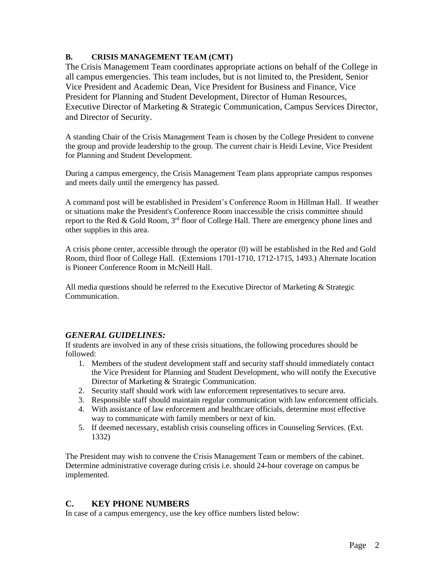# <span id="page-1-0"></span>**B. CRISIS MANAGEMENT TEAM (CMT)**

The Crisis Management Team coordinates appropriate actions on behalf of the College in all campus emergencies. This team includes, but is not limited to, the President, Senior Vice President and Academic Dean, Vice President for Business and Finance, Vice President for Planning and Student Development, Director of Human Resources, Executive Director of Marketing & Strategic Communication, Campus Services Director, and Director of Security.

A standing Chair of the Crisis Management Team is chosen by the College President to convene the group and provide leadership to the group. The current chair is Heidi Levine, Vice President for Planning and Student Development.

During a campus emergency, the Crisis Management Team plans appropriate campus responses and meets daily until the emergency has passed.

A command post will be established in President's Conference Room in Hillman Hall. If weather or situations make the President's Conference Room inaccessible the crisis committee should report to the Red & Gold Room,  $3<sup>rd</sup>$  floor of College Hall. There are emergency phone lines and other supplies in this area.

A crisis phone center, accessible through the operator (0) will be established in the Red and Gold Room, third floor of College Hall. (Extensions 1701-1710, 1712-1715, 1493.) Alternate location is Pioneer Conference Room in McNeill Hall.

All media questions should be referred to the Executive Director of Marketing & Strategic Communication.

# <span id="page-1-1"></span>*GENERAL GUIDELINES:*

If students are involved in any of these crisis situations, the following procedures should be followed:

- 1. Members of the student development staff and security staff should immediately contact the Vice President for Planning and Student Development, who will notify the Executive Director of Marketing & Strategic Communication.
- 2. Security staff should work with law enforcement representatives to secure area.
- 3. Responsible staff should maintain regular communication with law enforcement officials.
- 4. With assistance of law enforcement and healthcare officials, determine most effective way to communicate with family members or next of kin.
- 5. If deemed necessary, establish crisis counseling offices in Counseling Services. (Ext. 1332)

The President may wish to convene the Crisis Management Team or members of the cabinet. Determine administrative coverage during crisis i.e. should 24-hour coverage on campus be implemented.

# <span id="page-1-2"></span>**C. KEY PHONE NUMBERS**

In case of a campus emergency, use the key office numbers listed below: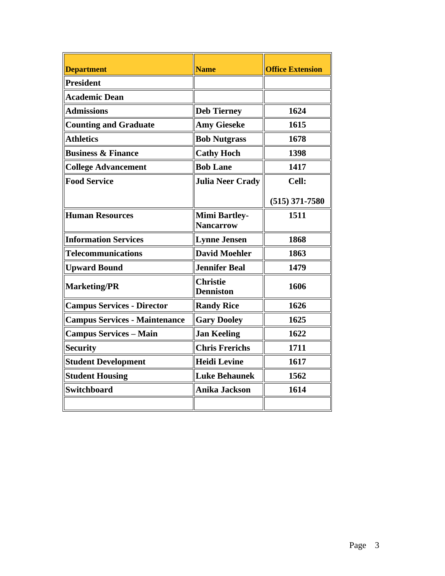| <b>Department</b>                    | <b>Name</b>                              | <b>Office Extension</b> |
|--------------------------------------|------------------------------------------|-------------------------|
| <b>President</b>                     |                                          |                         |
| <b>Academic Dean</b>                 |                                          |                         |
| <b>Admissions</b>                    | <b>Deb Tierney</b>                       | 1624                    |
| <b>Counting and Graduate</b>         | <b>Amy Gieseke</b>                       | 1615                    |
| <b>Athletics</b>                     | <b>Bob Nutgrass</b>                      | 1678                    |
| <b>Business &amp; Finance</b>        | <b>Cathy Hoch</b>                        | 1398                    |
| <b>College Advancement</b>           | <b>Bob Lane</b>                          | 1417                    |
| <b>Food Service</b>                  | <b>Julia Neer Crady</b>                  | Cell:                   |
|                                      |                                          | $(515)$ 371-7580        |
| <b>Human Resources</b>               | <b>Mimi Bartley-</b><br><b>Nancarrow</b> | 1511                    |
| <b>Information Services</b>          | <b>Lynne Jensen</b>                      | 1868                    |
| <b>Telecommunications</b>            | <b>David Moehler</b>                     | 1863                    |
| <b>Upward Bound</b>                  | <b>Jennifer Beal</b>                     | 1479                    |
| <b>Marketing/PR</b>                  | <b>Christie</b><br><b>Denniston</b>      | 1606                    |
| <b>Campus Services - Director</b>    | <b>Randy Rice</b>                        | 1626                    |
| <b>Campus Services - Maintenance</b> | <b>Gary Dooley</b>                       | 1625                    |
| <b>Campus Services - Main</b>        | <b>Jan Keeling</b>                       | 1622                    |
| <b>Security</b>                      | <b>Chris Frerichs</b>                    | 1711                    |
| <b>Student Development</b>           | <b>Heidi Levine</b>                      | 1617                    |
| <b>Student Housing</b>               | <b>Luke Behaunek</b>                     | 1562                    |
| <b>Switchboard</b>                   | Anika Jackson                            | 1614                    |
|                                      |                                          |                         |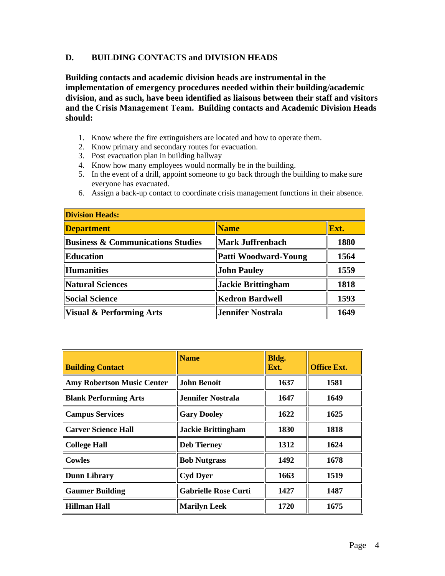# <span id="page-3-0"></span>**D. BUILDING CONTACTS and DIVISION HEADS**

**Building contacts and academic division heads are instrumental in the implementation of emergency procedures needed within their building/academic division, and as such, have been identified as liaisons between their staff and visitors and the Crisis Management Team. Building contacts and Academic Division Heads should:** 

- 1. Know where the fire extinguishers are located and how to operate them.
- 2. Know primary and secondary routes for evacuation.
- 3. Post evacuation plan in building hallway
- 4. Know how many employees would normally be in the building.
- 5. In the event of a drill, appoint someone to go back through the building to make sure everyone has evacuated.
- 6. Assign a back-up contact to coordinate crisis management functions in their absence.

| <b>Division Heads:</b>                       |                         |      |
|----------------------------------------------|-------------------------|------|
| <b>Department</b>                            | <b>Name</b>             | Ext. |
| <b>Business &amp; Communications Studies</b> | <b>Mark Juffrenbach</b> | 1880 |
| <b>Education</b>                             | Patti Woodward-Young    | 1564 |
| <b>Humanities</b>                            | <b>John Pauley</b>      | 1559 |
| <b>Natural Sciences</b>                      | Jackie Brittingham      | 1818 |
| <b>Social Science</b>                        | <b>Kedron Bardwell</b>  | 1593 |
| <b>Visual &amp; Performing Arts</b>          | Jennifer Nostrala       | 1649 |

| <b>Building Contact</b>           | <b>Name</b>                 | Bldg.<br>Ext. | <b>Office Ext.</b> |
|-----------------------------------|-----------------------------|---------------|--------------------|
| <b>Amy Robertson Music Center</b> | <b>John Benoit</b>          | 1637          | 1581               |
| <b>Blank Performing Arts</b>      | <b>Jennifer Nostrala</b>    | 1647          | 1649               |
| <b>Campus Services</b>            | <b>Gary Dooley</b>          | 1622          | 1625               |
| <b>Carver Science Hall</b>        | <b>Jackie Brittingham</b>   | 1830          | 1818               |
| <b>College Hall</b>               | <b>Deb Tierney</b>          | 1312          | 1624               |
| <b>Cowles</b>                     | <b>Bob Nutgrass</b>         | 1492          | 1678               |
| <b>Dunn Library</b>               | <b>Cyd Dyer</b>             | 1663          | 1519               |
| <b>Gaumer Building</b>            | <b>Gabrielle Rose Curti</b> | 1427          | 1487               |
| Hillman Hall                      | <b>Marilyn Leek</b>         | 1720          | 1675               |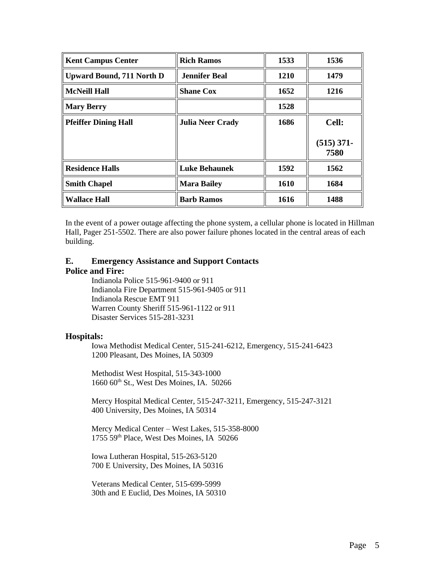| <b>Kent Campus Center</b>   | <b>Rich Ramos</b>       | 1533        | 1536                 |
|-----------------------------|-------------------------|-------------|----------------------|
| Upward Bound, 711 North D   | <b>Jennifer Beal</b>    | <b>1210</b> | 1479                 |
| McNeill Hall                | <b>Shane Cox</b>        | 1652        | 1216                 |
| <b>Mary Berry</b>           |                         | 1528        |                      |
| <b>Pfeiffer Dining Hall</b> | <b>Julia Neer Crady</b> | 1686        | Cell:                |
|                             |                         |             | $(515)$ 371-<br>7580 |
| <b>Residence Halls</b>      | <b>Luke Behaunek</b>    | 1592        | 1562                 |
| <b>Smith Chapel</b>         | <b>Mara Bailey</b>      | 1610        | 1684                 |
| <b>Wallace Hall</b>         | <b>Barb Ramos</b>       | 1616        | 1488                 |

In the event of a power outage affecting the phone system, a cellular phone is located in Hillman Hall, Pager 251-5502. There are also power failure phones located in the central areas of each building.

# <span id="page-4-0"></span>**E. Emergency Assistance and Support Contacts**

# <span id="page-4-1"></span>**Police and Fire:**

Indianola Police 515-961-9400 or 911 Indianola Fire Department 515-961-9405 or 911 Indianola Rescue EMT 911 Warren County Sheriff 515-961-1122 or 911 Disaster Services 515-281-3231

# <span id="page-4-2"></span>**Hospitals:**

Iowa Methodist Medical Center, 515-241-6212, Emergency, 515-241-6423 1200 Pleasant, Des Moines, IA 50309

Methodist West Hospital, 515-343-1000 1660 60<sup>th</sup> St., West Des Moines, IA. 50266

Mercy Hospital Medical Center, 515-247-3211, Emergency, 515-247-3121 400 University, Des Moines, IA 50314

Mercy Medical Center – West Lakes, 515-358-8000 1755 59th Place, West Des Moines, IA 50266

Iowa Lutheran Hospital, 515-263-5120 700 E University, Des Moines, IA 50316

Veterans Medical Center, 515-699-5999 30th and E Euclid, Des Moines, IA 50310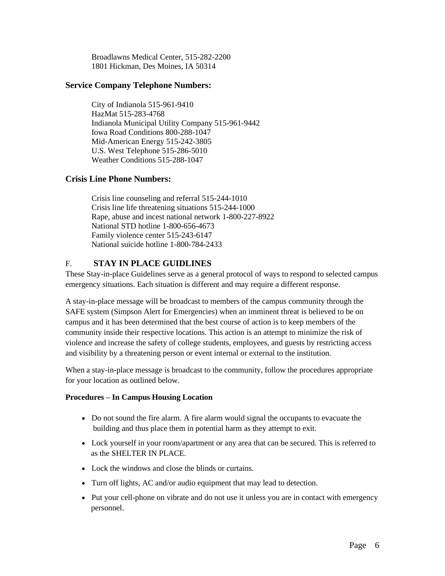Broadlawns Medical Center, 515-282-2200 1801 Hickman, Des Moines, IA 50314

# <span id="page-5-0"></span>**Service Company Telephone Numbers:**

City of Indianola 515-961-9410 HazMat 515-283-4768 Indianola Municipal Utility Company 515-961-9442 Iowa Road Conditions 800-288-1047 Mid-American Energy 515-242-3805 U.S. West Telephone 515-286-5010 Weather Conditions 515-288-1047

# <span id="page-5-1"></span>**Crisis Line Phone Numbers:**

Crisis line counseling and referral 515-244-1010 Crisis line life threatening situations 515-244-1000 Rape, abuse and incest national network 1-800-227-8922 National STD hotline 1-800-656-4673 Family violence center 515-243-6147 National suicide hotline 1-800-784-2433

# <span id="page-5-2"></span>F. **STAY IN PLACE GUIDLINES**

These Stay-in-place Guidelines serve as a general protocol of ways to respond to selected campus emergency situations. Each situation is different and may require a different response.

A stay-in-place message will be broadcast to members of the campus community through the SAFE system (Simpson Alert for Emergencies) when an imminent threat is believed to be on campus and it has been determined that the best course of action is to keep members of the community inside their respective locations. This action is an attempt to minimize the risk of violence and increase the safety of college students, employees, and guests by restricting access and visibility by a threatening person or event internal or external to the institution.

When a stay-in-place message is broadcast to the community, follow the procedures appropriate for your location as outlined below.

# **Procedures – In Campus Housing Location**

- Do not sound the fire alarm. A fire alarm would signal the occupants to evacuate the building and thus place them in potential harm as they attempt to exit.
- Lock yourself in your room/apartment or any area that can be secured. This is referred to as the SHELTER IN PLACE.
- Lock the windows and close the blinds or curtains.
- Turn off lights, AC and/or audio equipment that may lead to detection.
- Put your cell-phone on vibrate and do not use it unless you are in contact with emergency personnel.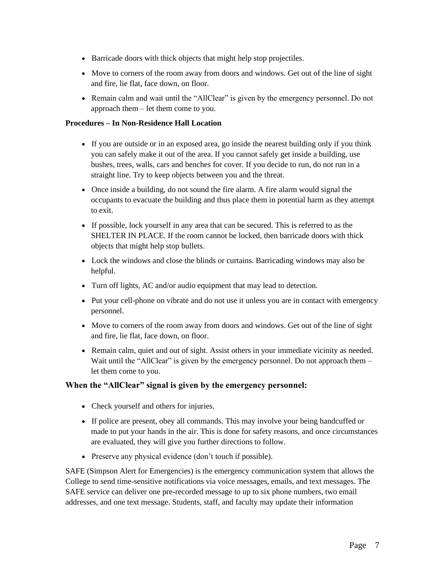- Barricade doors with thick objects that might help stop projectiles.
- Move to corners of the room away from doors and windows. Get out of the line of sight and fire, lie flat, face down, on floor.
- Remain calm and wait until the "AllClear" is given by the emergency personnel. Do not approach them – let them come to you.

### **Procedures – In Non-Residence Hall Location**

- If you are outside or in an exposed area, go inside the nearest building only if you think you can safely make it out of the area. If you cannot safely get inside a building, use bushes, trees, walls, cars and benches for cover. If you decide to run, do not run in a straight line. Try to keep objects between you and the threat.
- Once inside a building, do not sound the fire alarm. A fire alarm would signal the occupants to evacuate the building and thus place them in potential harm as they attempt to exit.
- If possible, lock yourself in any area that can be secured. This is referred to as the SHELTER IN PLACE. If the room cannot be locked, then barricade doors with thick objects that might help stop bullets.
- Lock the windows and close the blinds or curtains. Barricading windows may also be helpful.
- Turn off lights, AC and/or audio equipment that may lead to detection.
- Put your cell-phone on vibrate and do not use it unless you are in contact with emergency personnel.
- Move to corners of the room away from doors and windows. Get out of the line of sight and fire, lie flat, face down, on floor.
- Remain calm, quiet and out of sight. Assist others in your immediate vicinity as needed. Wait until the "AllClear" is given by the emergency personnel. Do not approach them – let them come to you.

# <span id="page-6-0"></span>**When the "AllClear" signal is given by the emergency personnel:**

- Check yourself and others for injuries.
- If police are present, obey all commands. This may involve your being handcuffed or made to put your hands in the air. This is done for safety reasons, and once circumstances are evaluated, they will give you further directions to follow.
- Preserve any physical evidence (don't touch if possible).

SAFE (Simpson Alert for Emergencies) is the emergency communication system that allows the College to send time-sensitive notifications via voice messages, emails, and text messages. The SAFE service can deliver one pre-recorded message to up to six phone numbers, two email addresses, and one text message. Students, staff, and faculty may update their information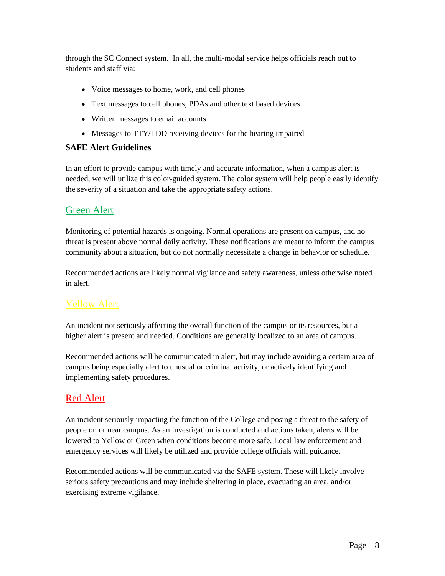through the SC Connect system. In all, the multi-modal service helps officials reach out to students and staff via:

- Voice messages to home, work, and cell phones
- Text messages to cell phones, PDAs and other text based devices
- Written messages to email accounts
- Messages to TTY/TDD receiving devices for the hearing impaired

# <span id="page-7-0"></span>**SAFE Alert Guidelines**

In an effort to provide campus with timely and accurate information, when a campus alert is needed, we will utilize this color-guided system. The color system will help people easily identify the severity of a situation and take the appropriate safety actions.

# Green Alert

Monitoring of potential hazards is ongoing. Normal operations are present on campus, and no threat is present above normal daily activity. These notifications are meant to inform the campus community about a situation, but do not normally necessitate a change in behavior or schedule.

Recommended actions are likely normal vigilance and safety awareness, unless otherwise noted in alert.

# Yellow Alert

An incident not seriously affecting the overall function of the campus or its resources, but a higher alert is present and needed. Conditions are generally localized to an area of campus.

Recommended actions will be communicated in alert, but may include avoiding a certain area of campus being especially alert to unusual or criminal activity, or actively identifying and implementing safety procedures.

# Red Alert

An incident seriously impacting the function of the College and posing a threat to the safety of people on or near campus. As an investigation is conducted and actions taken, alerts will be lowered to Yellow or Green when conditions become more safe. Local law enforcement and emergency services will likely be utilized and provide college officials with guidance.

Recommended actions will be communicated via the SAFE system. These will likely involve serious safety precautions and may include sheltering in place, evacuating an area, and/or exercising extreme vigilance.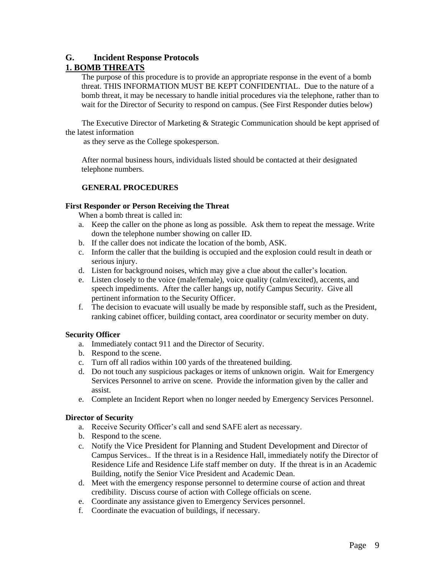# <span id="page-8-0"></span>**G. Incident Response Protocols**

# <span id="page-8-1"></span>**1. BOMB THREATS**

The purpose of this procedure is to provide an appropriate response in the event of a bomb threat. THIS INFORMATION MUST BE KEPT CONFIDENTIAL. Due to the nature of a bomb threat, it may be necessary to handle initial procedures via the telephone, rather than to wait for the Director of Security to respond on campus. (See First Responder duties below)

The Executive Director of Marketing & Strategic Communication should be kept apprised of the latest information

as they serve as the College spokesperson.

After normal business hours, individuals listed should be contacted at their designated telephone numbers.

# **GENERAL PROCEDURES**

#### **First Responder or Person Receiving the Threat**

When a bomb threat is called in:

- a. Keep the caller on the phone as long as possible. Ask them to repeat the message. Write down the telephone number showing on caller ID.
- b. If the caller does not indicate the location of the bomb, ASK.
- c. Inform the caller that the building is occupied and the explosion could result in death or serious injury.
- d. Listen for background noises, which may give a clue about the caller's location.
- e. Listen closely to the voice (male/female), voice quality (calm/excited), accents, and speech impediments. After the caller hangs up, notify Campus Security. Give all pertinent information to the Security Officer.
- f. The decision to evacuate will usually be made by responsible staff, such as the President, ranking cabinet officer, building contact, area coordinator or security member on duty.

#### **Security Officer**

- a. Immediately contact 911 and the Director of Security.
- b. Respond to the scene.
- c. Turn off all radios within 100 yards of the threatened building.
- d. Do not touch any suspicious packages or items of unknown origin. Wait for Emergency Services Personnel to arrive on scene. Provide the information given by the caller and assist.
- e. Complete an Incident Report when no longer needed by Emergency Services Personnel.

#### **Director of Security**

- a. Receive Security Officer's call and send SAFE alert as necessary.
- b. Respond to the scene.
- c. Notify the Vice President for Planning and Student Development and Director of Campus Services.. If the threat is in a Residence Hall, immediately notify the Director of Residence Life and Residence Life staff member on duty. If the threat is in an Academic Building, notify the Senior Vice President and Academic Dean.
- d. Meet with the emergency response personnel to determine course of action and threat credibility. Discuss course of action with College officials on scene.
- e. Coordinate any assistance given to Emergency Services personnel.
- f. Coordinate the evacuation of buildings, if necessary.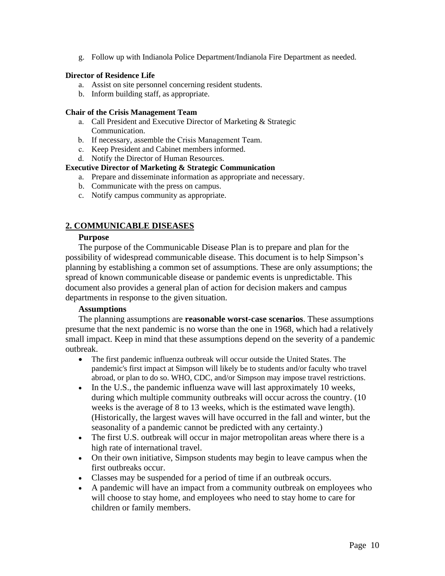g. Follow up with Indianola Police Department/Indianola Fire Department as needed.

### **Director of Residence Life**

- a. Assist on site personnel concerning resident students.
- b. Inform building staff, as appropriate.

### **Chair of the Crisis Management Team**

- a. Call President and Executive Director of Marketing & Strategic Communication.
- b. If necessary, assemble the Crisis Management Team.
- c. Keep President and Cabinet members informed.
- d. Notify the Director of Human Resources.

### **Executive Director of Marketing & Strategic Communication**

- a. Prepare and disseminate information as appropriate and necessary.
- b. Communicate with the press on campus.
- c. Notify campus community as appropriate.

# <span id="page-9-0"></span>**2. COMMUNICABLE DISEASES**

### **Purpose**

The purpose of the Communicable Disease Plan is to prepare and plan for the possibility of widespread communicable disease. This document is to help Simpson's planning by establishing a common set of assumptions. These are only assumptions; the spread of known communicable disease or pandemic events is unpredictable. This document also provides a general plan of action for decision makers and campus departments in response to the given situation.

#### **Assumptions**

The planning assumptions are **reasonable worst-case scenarios**. These assumptions presume that the next pandemic is no worse than the one in 1968, which had a relatively small impact. Keep in mind that these assumptions depend on the severity of a pandemic outbreak.

- The first pandemic influenza outbreak will occur outside the United States. The pandemic's first impact at Simpson will likely be to students and/or faculty who travel abroad, or plan to do so. WHO, CDC, and/or Simpson may impose travel restrictions.
- In the U.S., the pandemic influenza wave will last approximately 10 weeks, during which multiple community outbreaks will occur across the country. (10 weeks is the average of 8 to 13 weeks, which is the estimated wave length). (Historically, the largest waves will have occurred in the fall and winter, but the seasonality of a pandemic cannot be predicted with any certainty.)
- The first U.S. outbreak will occur in major metropolitan areas where there is a high rate of international travel.
- On their own initiative, Simpson students may begin to leave campus when the first outbreaks occur.
- Classes may be suspended for a period of time if an outbreak occurs.
- A pandemic will have an impact from a community outbreak on employees who will choose to stay home, and employees who need to stay home to care for children or family members.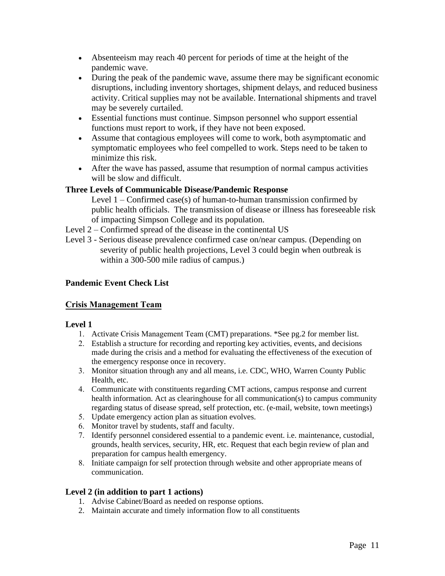- Absenteeism may reach 40 percent for periods of time at the height of the pandemic wave.
- During the peak of the pandemic wave, assume there may be significant economic disruptions, including inventory shortages, shipment delays, and reduced business activity. Critical supplies may not be available. International shipments and travel may be severely curtailed.
- Essential functions must continue. Simpson personnel who support essential functions must report to work, if they have not been exposed.
- Assume that contagious employees will come to work, both asymptomatic and symptomatic employees who feel compelled to work. Steps need to be taken to minimize this risk.
- After the wave has passed, assume that resumption of normal campus activities will be slow and difficult.

# **Three Levels of Communicable Disease/Pandemic Response**

Level  $1$  – Confirmed case(s) of human-to-human transmission confirmed by public health officials. The transmission of disease or illness has foreseeable risk of impacting Simpson College and its population.

- Level 2 Confirmed spread of the disease in the continental US
- Level 3 Serious disease prevalence confirmed case on/near campus. (Depending on severity of public health projections, Level 3 could begin when outbreak is within a 300-500 mile radius of campus.)

# **Pandemic Event Check List**

# **Crisis Management Team**

# **Level 1**

- 1. Activate Crisis Management Team (CMT) preparations. \*See pg.2 for member list.
- 2. Establish a structure for recording and reporting key activities, events, and decisions made during the crisis and a method for evaluating the effectiveness of the execution of the emergency response once in recovery.
- 3. Monitor situation through any and all means, i.e. CDC, WHO, Warren County Public Health, etc.
- 4. Communicate with constituents regarding CMT actions, campus response and current health information. Act as clearinghouse for all communication(s) to campus community regarding status of disease spread, self protection, etc. (e-mail, website, town meetings)
- 5. Update emergency action plan as situation evolves.
- 6. Monitor travel by students, staff and faculty.
- 7. Identify personnel considered essential to a pandemic event. i.e. maintenance, custodial, grounds, health services, security, HR, etc. Request that each begin review of plan and preparation for campus health emergency.
- 8. Initiate campaign for self protection through website and other appropriate means of communication.

# **Level 2 (in addition to part 1 actions)**

- 1. Advise Cabinet/Board as needed on response options.
- 2. Maintain accurate and timely information flow to all constituents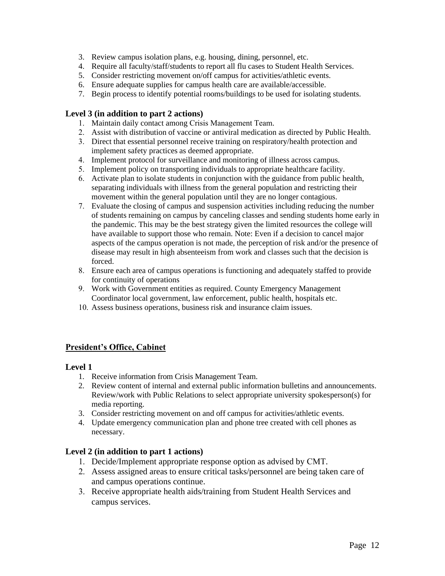- 3. Review campus isolation plans, e.g. housing, dining, personnel, etc.
- 4. Require all faculty/staff/students to report all flu cases to Student Health Services.
- 5. Consider restricting movement on/off campus for activities/athletic events.
- 6. Ensure adequate supplies for campus health care are available/accessible.
- 7. Begin process to identify potential rooms/buildings to be used for isolating students.

# **Level 3 (in addition to part 2 actions)**

- 1. Maintain daily contact among Crisis Management Team.
- 2. Assist with distribution of vaccine or antiviral medication as directed by Public Health.
- 3. Direct that essential personnel receive training on respiratory/health protection and implement safety practices as deemed appropriate.
- 4. Implement protocol for surveillance and monitoring of illness across campus.
- 5. Implement policy on transporting individuals to appropriate healthcare facility.
- 6. Activate plan to isolate students in conjunction with the guidance from public health, separating individuals with illness from the general population and restricting their movement within the general population until they are no longer contagious.
- 7. Evaluate the closing of campus and suspension activities including reducing the number of students remaining on campus by canceling classes and sending students home early in the pandemic. This may be the best strategy given the limited resources the college will have available to support those who remain. Note: Even if a decision to cancel major aspects of the campus operation is not made, the perception of risk and/or the presence of disease may result in high absenteeism from work and classes such that the decision is forced.
- 8. Ensure each area of campus operations is functioning and adequately staffed to provide for continuity of operations
- 9. Work with Government entities as required. County Emergency Management Coordinator local government, law enforcement, public health, hospitals etc.
- 10. Assess business operations, business risk and insurance claim issues.

# **President's Office, Cabinet**

# **Level 1**

- 1. Receive information from Crisis Management Team.
- 2. Review content of internal and external public information bulletins and announcements. Review/work with Public Relations to select appropriate university spokesperson(s) for media reporting.
- 3. Consider restricting movement on and off campus for activities/athletic events.
- 4. Update emergency communication plan and phone tree created with cell phones as necessary.

# **Level 2 (in addition to part 1 actions)**

- 1. Decide/Implement appropriate response option as advised by CMT.
- 2. Assess assigned areas to ensure critical tasks/personnel are being taken care of and campus operations continue.
- 3. Receive appropriate health aids/training from Student Health Services and campus services.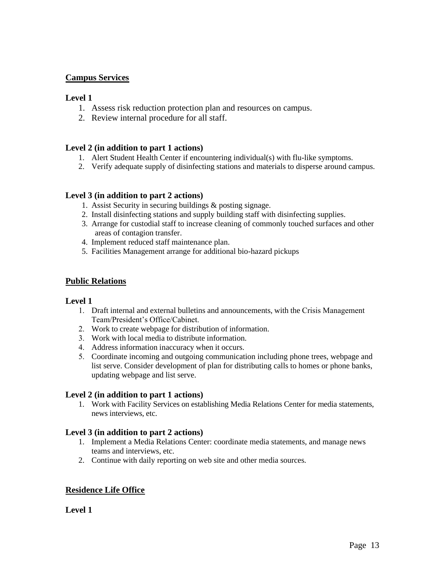# **Campus Services**

### **Level 1**

- 1. Assess risk reduction protection plan and resources on campus.
- 2. Review internal procedure for all staff.

### **Level 2 (in addition to part 1 actions)**

- 1. Alert Student Health Center if encountering individual(s) with flu-like symptoms.
- 2. Verify adequate supply of disinfecting stations and materials to disperse around campus.

### **Level 3 (in addition to part 2 actions)**

- 1. Assist Security in securing buildings & posting signage.
- 2. Install disinfecting stations and supply building staff with disinfecting supplies.
- 3. Arrange for custodial staff to increase cleaning of commonly touched surfaces and other areas of contagion transfer.
- 4. Implement reduced staff maintenance plan.
- 5. Facilities Management arrange for additional bio-hazard pickups

### **Public Relations**

#### **Level 1**

- 1. Draft internal and external bulletins and announcements, with the Crisis Management Team/President's Office/Cabinet.
- 2. Work to create webpage for distribution of information.
- 3. Work with local media to distribute information.
- 4. Address information inaccuracy when it occurs.
- 5. Coordinate incoming and outgoing communication including phone trees, webpage and list serve. Consider development of plan for distributing calls to homes or phone banks, updating webpage and list serve.

# **Level 2 (in addition to part 1 actions)**

1. Work with Facility Services on establishing Media Relations Center for media statements, news interviews, etc.

#### **Level 3 (in addition to part 2 actions)**

- 1. Implement a Media Relations Center: coordinate media statements, and manage news teams and interviews, etc.
- 2. Continue with daily reporting on web site and other media sources.

# **Residence Life Office**

**Level 1**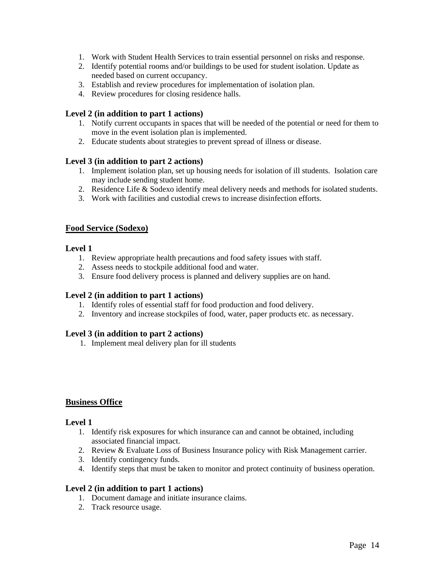- 1. Work with Student Health Services to train essential personnel on risks and response.
- 2. Identify potential rooms and/or buildings to be used for student isolation. Update as needed based on current occupancy.
- 3. Establish and review procedures for implementation of isolation plan.
- 4. Review procedures for closing residence halls.

# **Level 2 (in addition to part 1 actions)**

- 1. Notify current occupants in spaces that will be needed of the potential or need for them to move in the event isolation plan is implemented.
- 2. Educate students about strategies to prevent spread of illness or disease.

### **Level 3 (in addition to part 2 actions)**

- 1. Implement isolation plan, set up housing needs for isolation of ill students. Isolation care may include sending student home.
- 2. Residence Life & Sodexo identify meal delivery needs and methods for isolated students.
- 3. Work with facilities and custodial crews to increase disinfection efforts.

# **Food Service (Sodexo)**

#### **Level 1**

- 1. Review appropriate health precautions and food safety issues with staff.
- 2. Assess needs to stockpile additional food and water.
- 3. Ensure food delivery process is planned and delivery supplies are on hand.

#### **Level 2 (in addition to part 1 actions)**

- 1. Identify roles of essential staff for food production and food delivery.
- 2. Inventory and increase stockpiles of food, water, paper products etc. as necessary.

# **Level 3 (in addition to part 2 actions)**

1. Implement meal delivery plan for ill students

# **Business Office**

#### **Level 1**

- 1. Identify risk exposures for which insurance can and cannot be obtained, including associated financial impact.
- 2. Review & Evaluate Loss of Business Insurance policy with Risk Management carrier.
- 3. Identify contingency funds.
- 4. Identify steps that must be taken to monitor and protect continuity of business operation.

# **Level 2 (in addition to part 1 actions)**

- 1. Document damage and initiate insurance claims.
- 2. Track resource usage.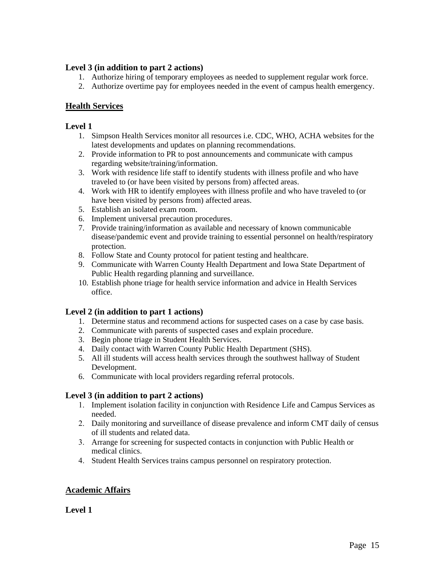# **Level 3 (in addition to part 2 actions)**

- 1. Authorize hiring of temporary employees as needed to supplement regular work force.
- 2. Authorize overtime pay for employees needed in the event of campus health emergency.

# **Health Services**

# **Level 1**

- 1. Simpson Health Services monitor all resources i.e. CDC, WHO, ACHA websites for the latest developments and updates on planning recommendations.
- 2. Provide information to PR to post announcements and communicate with campus regarding website/training/information.
- 3. Work with residence life staff to identify students with illness profile and who have traveled to (or have been visited by persons from) affected areas.
- 4. Work with HR to identify employees with illness profile and who have traveled to (or have been visited by persons from) affected areas.
- 5. Establish an isolated exam room.
- 6. Implement universal precaution procedures.
- 7. Provide training/information as available and necessary of known communicable disease/pandemic event and provide training to essential personnel on health/respiratory protection.
- 8. Follow State and County protocol for patient testing and healthcare.
- 9. Communicate with Warren County Health Department and Iowa State Department of Public Health regarding planning and surveillance.
- 10. Establish phone triage for health service information and advice in Health Services office.

# **Level 2 (in addition to part 1 actions)**

- 1. Determine status and recommend actions for suspected cases on a case by case basis.
- 2. Communicate with parents of suspected cases and explain procedure.
- 3. Begin phone triage in Student Health Services.
- 4. Daily contact with Warren County Public Health Department (SHS).
- 5. All ill students will access health services through the southwest hallway of Student Development.
- 6. Communicate with local providers regarding referral protocols.

# **Level 3 (in addition to part 2 actions)**

- 1. Implement isolation facility in conjunction with Residence Life and Campus Services as needed.
- 2. Daily monitoring and surveillance of disease prevalence and inform CMT daily of census of ill students and related data.
- 3. Arrange for screening for suspected contacts in conjunction with Public Health or medical clinics.
- 4. Student Health Services trains campus personnel on respiratory protection.

# **Academic Affairs**

**Level 1**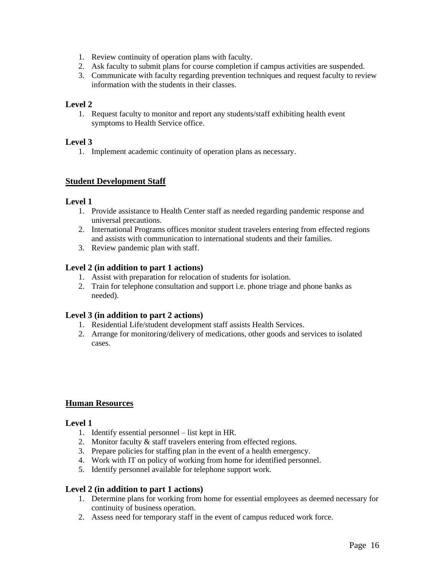- 1. Review continuity of operation plans with faculty.
- 2. Ask faculty to submit plans for course completion if campus activities are suspended.
- 3. Communicate with faculty regarding prevention techniques and request faculty to review information with the students in their classes.

# **Level 2**

1. Request faculty to monitor and report any students/staff exhibiting health event symptoms to Health Service office.

# **Level 3**

1. Implement academic continuity of operation plans as necessary.

# **Student Development Staff**

# **Level 1**

- 1. Provide assistance to Health Center staff as needed regarding pandemic response and universal precautions.
- 2. International Programs offices monitor student travelers entering from effected regions and assists with communication to international students and their families.
- 3. Review pandemic plan with staff.

# **Level 2 (in addition to part 1 actions)**

- 1. Assist with preparation for relocation of students for isolation.
- 2. Train for telephone consultation and support i.e. phone triage and phone banks as needed).

# **Level 3 (in addition to part 2 actions)**

- 1. Residential Life/student development staff assists Health Services.
- 2. Arrange for monitoring/delivery of medications, other goods and services to isolated cases.

# **Human Resources**

# **Level 1**

- 1. Identify essential personnel list kept in HR.
- 2. Monitor faculty & staff travelers entering from effected regions.
- 3. Prepare policies for staffing plan in the event of a health emergency.
- 4. Work with IT on policy of working from home for identified personnel.
- 5. Identify personnel available for telephone support work.

# **Level 2 (in addition to part 1 actions)**

- 1. Determine plans for working from home for essential employees as deemed necessary for continuity of business operation.
- 2. Assess need for temporary staff in the event of campus reduced work force.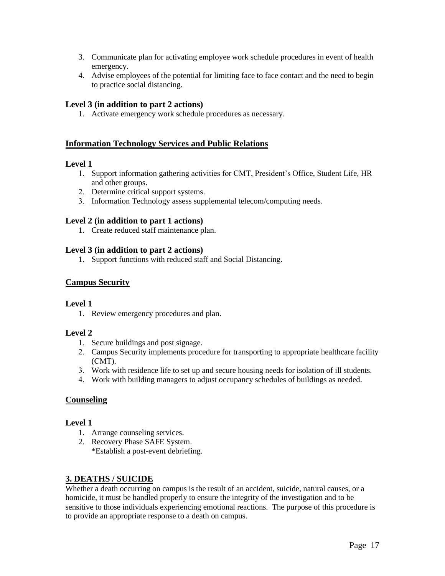- 3. Communicate plan for activating employee work schedule procedures in event of health emergency.
- 4. Advise employees of the potential for limiting face to face contact and the need to begin to practice social distancing.

# **Level 3 (in addition to part 2 actions)**

1. Activate emergency work schedule procedures as necessary.

# **Information Technology Services and Public Relations**

# **Level 1**

- 1. Support information gathering activities for CMT, President's Office, Student Life, HR and other groups.
- 2. Determine critical support systems.
- 3. Information Technology assess supplemental telecom/computing needs.

# **Level 2 (in addition to part 1 actions)**

1. Create reduced staff maintenance plan.

# **Level 3 (in addition to part 2 actions)**

1. Support functions with reduced staff and Social Distancing.

# **Campus Security**

# **Level 1**

1. Review emergency procedures and plan.

# **Level 2**

- 1. Secure buildings and post signage.
- 2. Campus Security implements procedure for transporting to appropriate healthcare facility (CMT).
- 3. Work with residence life to set up and secure housing needs for isolation of ill students.
- 4. Work with building managers to adjust occupancy schedules of buildings as needed.

# **Counseling**

# **Level 1**

- 1. Arrange counseling services.
- 2. Recovery Phase SAFE System.
- \*Establish a post-event debriefing.

# <span id="page-16-0"></span>**3. DEATHS / SUICIDE**

Whether a death occurring on campus is the result of an accident, suicide, natural causes, or a homicide, it must be handled properly to ensure the integrity of the investigation and to be sensitive to those individuals experiencing emotional reactions. The purpose of this procedure is to provide an appropriate response to a death on campus.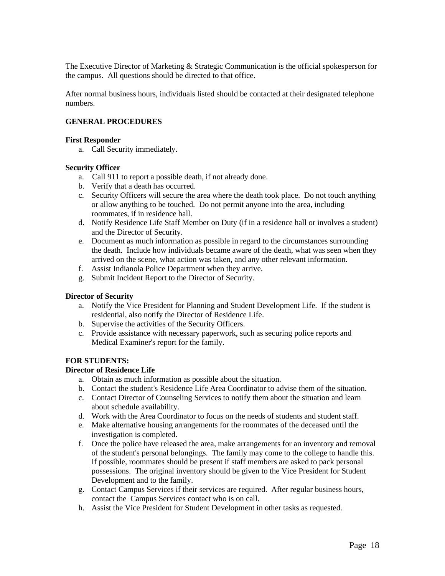The Executive Director of Marketing & Strategic Communication is the official spokesperson for the campus. All questions should be directed to that office.

After normal business hours, individuals listed should be contacted at their designated telephone numbers.

#### **GENERAL PROCEDURES**

#### **First Responder**

a. Call Security immediately.

#### **Security Officer**

- a. Call 911 to report a possible death, if not already done.
- b. Verify that a death has occurred.
- c. Security Officers will secure the area where the death took place. Do not touch anything or allow anything to be touched. Do not permit anyone into the area, including roommates, if in residence hall.
- d. Notify Residence Life Staff Member on Duty (if in a residence hall or involves a student) and the Director of Security.
- e. Document as much information as possible in regard to the circumstances surrounding the death. Include how individuals became aware of the death, what was seen when they arrived on the scene, what action was taken, and any other relevant information.
- f. Assist Indianola Police Department when they arrive.
- g. Submit Incident Report to the Director of Security.

#### **Director of Security**

- a. Notify the Vice President for Planning and Student Development Life. If the student is residential, also notify the Director of Residence Life.
- b. Supervise the activities of the Security Officers.
- c. Provide assistance with necessary paperwork, such as securing police reports and Medical Examiner's report for the family.

### **FOR STUDENTS:**

### **Director of Residence Life**

- a. Obtain as much information as possible about the situation.
- b. Contact the student's Residence Life Area Coordinator to advise them of the situation.
- c. Contact Director of Counseling Services to notify them about the situation and learn about schedule availability.
- d. Work with the Area Coordinator to focus on the needs of students and student staff.
- e. Make alternative housing arrangements for the roommates of the deceased until the investigation is completed.
- f. Once the police have released the area, make arrangements for an inventory and removal of the student's personal belongings. The family may come to the college to handle this. If possible, roommates should be present if staff members are asked to pack personal possessions. The original inventory should be given to the Vice President for Student Development and to the family.
- g. Contact Campus Services if their services are required. After regular business hours, contact the Campus Services contact who is on call.
- h. Assist the Vice President for Student Development in other tasks as requested.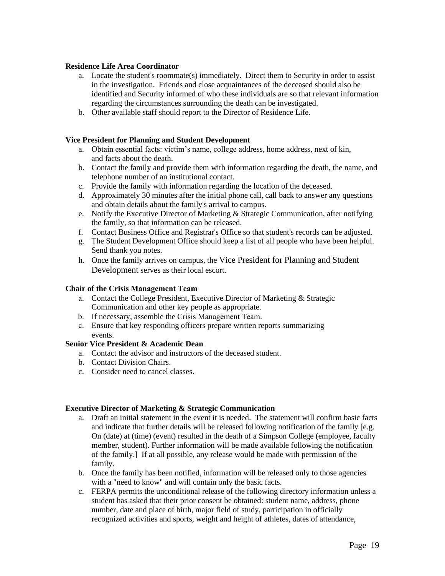#### **Residence Life Area Coordinator**

- a. Locate the student's roommate(s) immediately. Direct them to Security in order to assist in the investigation. Friends and close acquaintances of the deceased should also be identified and Security informed of who these individuals are so that relevant information regarding the circumstances surrounding the death can be investigated.
- b. Other available staff should report to the Director of Residence Life.

### **Vice President for Planning and Student Development**

- a. Obtain essential facts: victim's name, college address, home address, next of kin, and facts about the death.
- b. Contact the family and provide them with information regarding the death, the name, and telephone number of an institutional contact.
- c. Provide the family with information regarding the location of the deceased.
- d. Approximately 30 minutes after the initial phone call, call back to answer any questions and obtain details about the family's arrival to campus.
- e. Notify the Executive Director of Marketing & Strategic Communication, after notifying the family, so that information can be released.
- f. Contact Business Office and Registrar's Office so that student's records can be adjusted.
- g. The Student Development Office should keep a list of all people who have been helpful. Send thank you notes.
- h. Once the family arrives on campus, the Vice President for Planning and Student Development serves as their local escort.

#### **Chair of the Crisis Management Team**

- a. Contact the College President, Executive Director of Marketing & Strategic Communication and other key people as appropriate.
- b. If necessary, assemble the Crisis Management Team.
- c. Ensure that key responding officers prepare written reports summarizing events.

#### **Senior Vice President & Academic Dean**

- a. Contact the advisor and instructors of the deceased student.
- b. Contact Division Chairs.
- c. Consider need to cancel classes.

#### **Executive Director of Marketing & Strategic Communication**

- a. Draft an initial statement in the event it is needed. The statement will confirm basic facts and indicate that further details will be released following notification of the family [e.g. On (date) at (time) (event) resulted in the death of a Simpson College (employee, faculty member, student). Further information will be made available following the notification of the family.] If at all possible, any release would be made with permission of the family.
- b. Once the family has been notified, information will be released only to those agencies with a "need to know" and will contain only the basic facts.
- c. FERPA permits the unconditional release of the following directory information unless a student has asked that their prior consent be obtained: student name, address, phone number, date and place of birth, major field of study, participation in officially recognized activities and sports, weight and height of athletes, dates of attendance,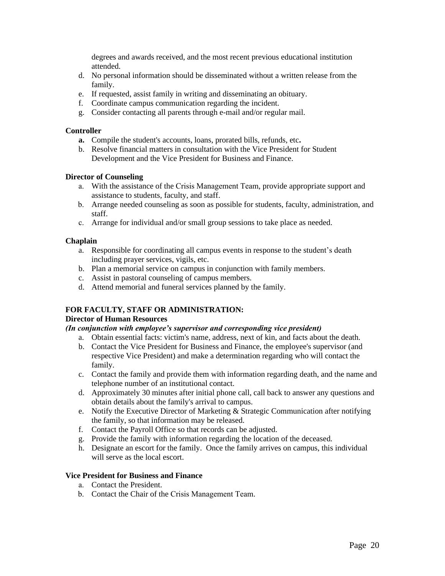degrees and awards received, and the most recent previous educational institution attended.

- d. No personal information should be disseminated without a written release from the family.
- e. If requested, assist family in writing and disseminating an obituary.
- f. Coordinate campus communication regarding the incident.
- g. Consider contacting all parents through e-mail and/or regular mail.

#### **Controller**

- **a.** Compile the student's accounts, loans, prorated bills, refunds, etc**.**
- b. Resolve financial matters in consultation with the Vice President for Student Development and the Vice President for Business and Finance.

#### **Director of Counseling**

- a. With the assistance of the Crisis Management Team, provide appropriate support and assistance to students, faculty, and staff.
- b. Arrange needed counseling as soon as possible for students, faculty, administration, and staff.
- c. Arrange for individual and/or small group sessions to take place as needed.

#### **Chaplain**

- a. Responsible for coordinating all campus events in response to the student's death including prayer services, vigils, etc.
- b. Plan a memorial service on campus in conjunction with family members.
- c. Assist in pastoral counseling of campus members.
- d. Attend memorial and funeral services planned by the family.

#### **FOR FACULTY, STAFF OR ADMINISTRATION:**

#### **Director of Human Resources**

#### *(In conjunction with employee's supervisor and corresponding vice president)*

- a. Obtain essential facts: victim's name, address, next of kin, and facts about the death.
- b. Contact the Vice President for Business and Finance, the employee's supervisor (and respective Vice President) and make a determination regarding who will contact the family.
- c. Contact the family and provide them with information regarding death, and the name and telephone number of an institutional contact.
- d. Approximately 30 minutes after initial phone call, call back to answer any questions and obtain details about the family's arrival to campus.
- e. Notify the Executive Director of Marketing & Strategic Communication after notifying the family, so that information may be released.
- f. Contact the Payroll Office so that records can be adjusted.
- g. Provide the family with information regarding the location of the deceased.
- h. Designate an escort for the family. Once the family arrives on campus, this individual will serve as the local escort.

#### **Vice President for Business and Finance**

- a. Contact the President.
- b. Contact the Chair of the Crisis Management Team.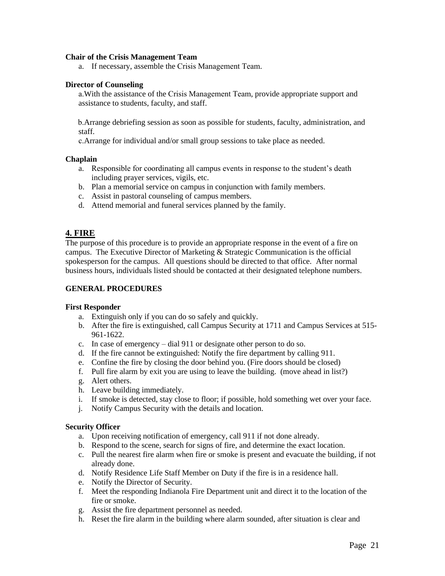#### **Chair of the Crisis Management Team**

a. If necessary, assemble the Crisis Management Team.

#### **Director of Counseling**

a.With the assistance of the Crisis Management Team, provide appropriate support and assistance to students, faculty, and staff.

b.Arrange debriefing session as soon as possible for students, faculty, administration, and staff.

c.Arrange for individual and/or small group sessions to take place as needed.

#### **Chaplain**

- a. Responsible for coordinating all campus events in response to the student's death including prayer services, vigils, etc.
- b. Plan a memorial service on campus in conjunction with family members.
- c. Assist in pastoral counseling of campus members.
- d. Attend memorial and funeral services planned by the family.

### <span id="page-20-0"></span>**4. FIRE**

The purpose of this procedure is to provide an appropriate response in the event of a fire on campus. The Executive Director of Marketing & Strategic Communication is the official spokesperson for the campus. All questions should be directed to that office. After normal business hours, individuals listed should be contacted at their designated telephone numbers.

#### **GENERAL PROCEDURES**

#### **First Responder**

- a. Extinguish only if you can do so safely and quickly.
- b. After the fire is extinguished, call Campus Security at 1711 and Campus Services at 515- 961-1622.
- c. In case of emergency dial 911 or designate other person to do so.
- d. If the fire cannot be extinguished: Notify the fire department by calling 911.
- e. Confine the fire by closing the door behind you. (Fire doors should be closed)
- f. Pull fire alarm by exit you are using to leave the building. (move ahead in list?)
- g. Alert others.
- h. Leave building immediately.
- i. If smoke is detected, stay close to floor; if possible, hold something wet over your face.
- j. Notify Campus Security with the details and location.

#### **Security Officer**

- a. Upon receiving notification of emergency, call 911 if not done already.
- b. Respond to the scene, search for signs of fire, and determine the exact location.
- c. Pull the nearest fire alarm when fire or smoke is present and evacuate the building, if not already done.
- d. Notify Residence Life Staff Member on Duty if the fire is in a residence hall.
- e. Notify the Director of Security.
- f. Meet the responding Indianola Fire Department unit and direct it to the location of the fire or smoke.
- g. Assist the fire department personnel as needed.
- h. Reset the fire alarm in the building where alarm sounded, after situation is clear and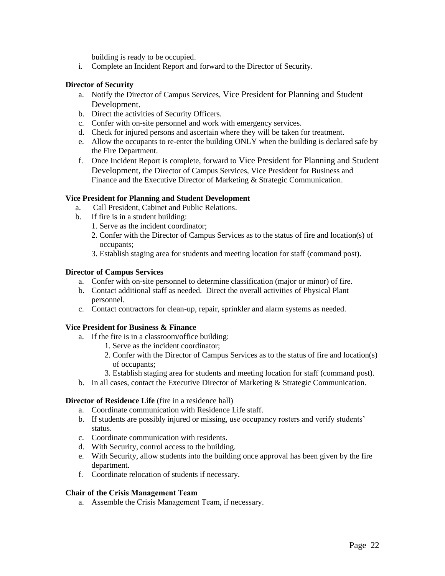building is ready to be occupied.

i. Complete an Incident Report and forward to the Director of Security.

### **Director of Security**

- a. Notify the Director of Campus Services, Vice President for Planning and Student Development.
- b. Direct the activities of Security Officers.
- c. Confer with on-site personnel and work with emergency services.
- d. Check for injured persons and ascertain where they will be taken for treatment.
- e. Allow the occupants to re-enter the building ONLY when the building is declared safe by the Fire Department.
- f. Once Incident Report is complete, forward to Vice President for Planning and Student Development, the Director of Campus Services, Vice President for Business and Finance and the Executive Director of Marketing & Strategic Communication.

#### **Vice President for Planning and Student Development**

- a. Call President, Cabinet and Public Relations.
- b. If fire is in a student building:
	- 1. Serve as the incident coordinator;
	- 2. Confer with the Director of Campus Services as to the status of fire and location(s) of occupants;
	- 3. Establish staging area for students and meeting location for staff (command post).

#### **Director of Campus Services**

- a. Confer with on-site personnel to determine classification (major or minor) of fire.
- b. Contact additional staff as needed. Direct the overall activities of Physical Plant personnel.
- c. Contact contractors for clean-up, repair, sprinkler and alarm systems as needed.

#### **Vice President for Business & Finance**

- a. If the fire is in a classroom/office building:
	- 1. Serve as the incident coordinator;
	- 2. Confer with the Director of Campus Services as to the status of fire and location(s) of occupants;
	- 3. Establish staging area for students and meeting location for staff (command post).
- b. In all cases, contact the Executive Director of Marketing & Strategic Communication.

#### **Director of Residence Life** (fire in a residence hall)

- a. Coordinate communication with Residence Life staff.
- b. If students are possibly injured or missing, use occupancy rosters and verify students' status.
- c. Coordinate communication with residents.
- d. With Security, control access to the building.
- e. With Security, allow students into the building once approval has been given by the fire department.
- f. Coordinate relocation of students if necessary.

#### **Chair of the Crisis Management Team**

a. Assemble the Crisis Management Team, if necessary.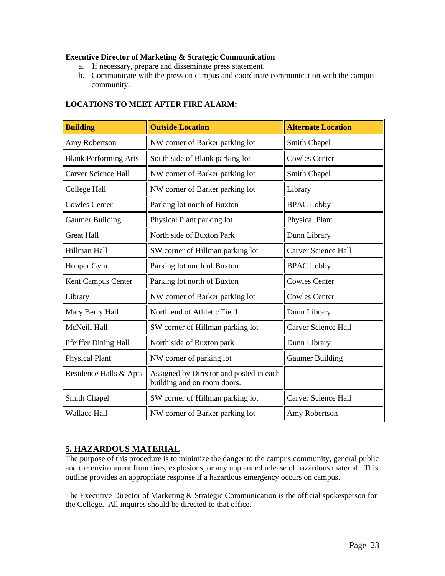# **Executive Director of Marketing & Strategic Communication**

- a. If necessary, prepare and disseminate press statement.
- b. Communicate with the press on campus and coordinate communication with the campus community.

### **LOCATIONS TO MEET AFTER FIRE ALARM:**

| <b>Building</b>              | <b>Outside Location</b>                                                | <b>Alternate Location</b>  |
|------------------------------|------------------------------------------------------------------------|----------------------------|
| Amy Robertson                | NW corner of Barker parking lot                                        | Smith Chapel               |
| <b>Blank Performing Arts</b> | South side of Blank parking lot                                        | <b>Cowles Center</b>       |
| <b>Carver Science Hall</b>   | NW corner of Barker parking lot                                        | Smith Chapel               |
| College Hall                 | NW corner of Barker parking lot                                        | Library                    |
| <b>Cowles Center</b>         | Parking lot north of Buxton                                            | <b>BPAC Lobby</b>          |
| <b>Gaumer Building</b>       | Physical Plant parking lot                                             | <b>Physical Plant</b>      |
| <b>Great Hall</b>            | North side of Buxton Park                                              | Dunn Library               |
| Hillman Hall                 | SW corner of Hillman parking lot                                       | Carver Science Hall        |
| Hopper Gym                   | Parking lot north of Buxton                                            | <b>BPAC Lobby</b>          |
| Kent Campus Center           | Parking lot north of Buxton                                            | <b>Cowles Center</b>       |
| Library                      | NW corner of Barker parking lot                                        | <b>Cowles Center</b>       |
| Mary Berry Hall              | North end of Athletic Field                                            | Dunn Library               |
| McNeill Hall                 | SW corner of Hillman parking lot                                       | <b>Carver Science Hall</b> |
| Pfeiffer Dining Hall         | North side of Buxton park                                              | Dunn Library               |
| <b>Physical Plant</b>        | NW corner of parking lot                                               | <b>Gaumer Building</b>     |
| Residence Halls & Apts       | Assigned by Director and posted in each<br>building and on room doors. |                            |
| Smith Chapel                 | SW corner of Hillman parking lot                                       | <b>Carver Science Hall</b> |
| <b>Wallace Hall</b>          | NW corner of Barker parking lot                                        | Amy Robertson              |

# <span id="page-22-0"></span>**5. HAZARDOUS MATERIAL**

The purpose of this procedure is to minimize the danger to the campus community, general public and the environment from fires, explosions, or any unplanned release of hazardous material. This outline provides an appropriate response if a hazardous emergency occurs on campus.

The Executive Director of Marketing & Strategic Communication is the official spokesperson for the College. All inquires should be directed to that office.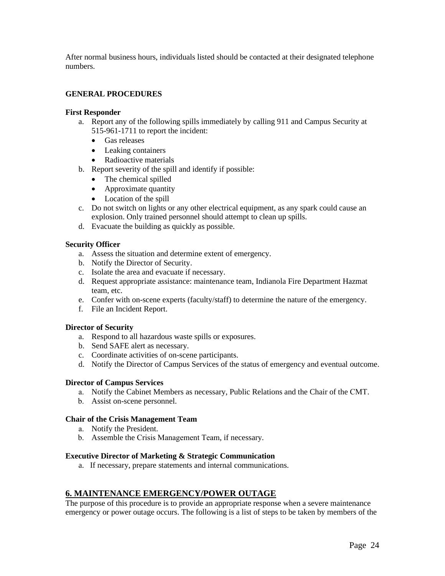After normal business hours, individuals listed should be contacted at their designated telephone numbers.

### **GENERAL PROCEDURES**

#### **First Responder**

- a. Report any of the following spills immediately by calling 911 and Campus Security at 515-961-1711 to report the incident:
	- Gas releases
	- Leaking containers
	- Radioactive materials
- b. Report severity of the spill and identify if possible:
	- The chemical spilled
	- Approximate quantity
	- Location of the spill
- c. Do not switch on lights or any other electrical equipment, as any spark could cause an explosion. Only trained personnel should attempt to clean up spills.
- d. Evacuate the building as quickly as possible.

#### **Security Officer**

- a. Assess the situation and determine extent of emergency.
- b. Notify the Director of Security.
- c. Isolate the area and evacuate if necessary.
- d. Request appropriate assistance: maintenance team, Indianola Fire Department Hazmat team, etc.
- e. Confer with on-scene experts (faculty/staff) to determine the nature of the emergency.
- f. File an Incident Report.

#### **Director of Security**

- a. Respond to all hazardous waste spills or exposures.
- b. Send SAFE alert as necessary.
- c. Coordinate activities of on-scene participants.
- d. Notify the Director of Campus Services of the status of emergency and eventual outcome.

#### **Director of Campus Services**

- a. Notify the Cabinet Members as necessary, Public Relations and the Chair of the CMT.
- b. Assist on-scene personnel.

#### **Chair of the Crisis Management Team**

- a. Notify the President.
- b. Assemble the Crisis Management Team, if necessary.

#### **Executive Director of Marketing & Strategic Communication**

a. If necessary, prepare statements and internal communications.

# <span id="page-23-0"></span>**6. MAINTENANCE EMERGENCY/POWER OUTAGE**

The purpose of this procedure is to provide an appropriate response when a severe maintenance emergency or power outage occurs. The following is a list of steps to be taken by members of the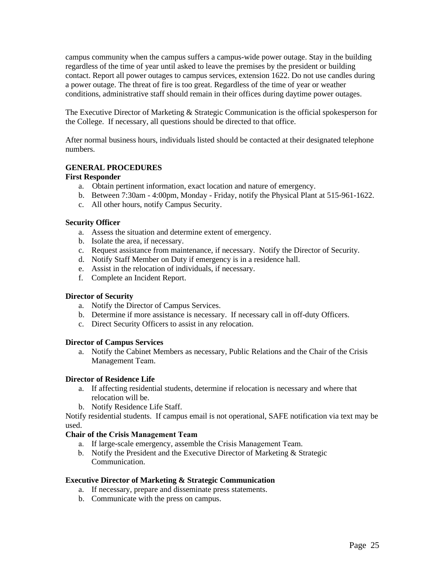campus community when the campus suffers a campus-wide power outage. Stay in the building regardless of the time of year until asked to leave the premises by the president or building contact. Report all power outages to campus services, extension 1622. Do not use candles during a power outage. The threat of fire is too great. Regardless of the time of year or weather conditions, administrative staff should remain in their offices during daytime power outages.

The Executive Director of Marketing & Strategic Communication is the official spokesperson for the College. If necessary, all questions should be directed to that office.

After normal business hours, individuals listed should be contacted at their designated telephone numbers.

#### **GENERAL PROCEDURES**

#### **First Responder**

- a. Obtain pertinent information, exact location and nature of emergency.
- b. Between 7:30am 4:00pm, Monday Friday, notify the Physical Plant at 515-961-1622.
- c. All other hours, notify Campus Security.

#### **Security Officer**

- a. Assess the situation and determine extent of emergency.
- b. Isolate the area, if necessary.
- c. Request assistance from maintenance, if necessary. Notify the Director of Security.
- d. Notify Staff Member on Duty if emergency is in a residence hall.
- e. Assist in the relocation of individuals, if necessary.
- f. Complete an Incident Report.

#### **Director of Security**

- a. Notify the Director of Campus Services.
- b. Determine if more assistance is necessary. If necessary call in off-duty Officers.
- c. Direct Security Officers to assist in any relocation.

#### **Director of Campus Services**

a. Notify the Cabinet Members as necessary, Public Relations and the Chair of the Crisis Management Team.

#### **Director of Residence Life**

- a. If affecting residential students, determine if relocation is necessary and where that relocation will be.
- b. Notify Residence Life Staff.

Notify residential students. If campus email is not operational, SAFE notification via text may be used.

#### **Chair of the Crisis Management Team**

- a. If large-scale emergency, assemble the Crisis Management Team.
- b. Notify the President and the Executive Director of Marketing & Strategic Communication.

#### **Executive Director of Marketing & Strategic Communication**

- a. If necessary, prepare and disseminate press statements.
- b. Communicate with the press on campus.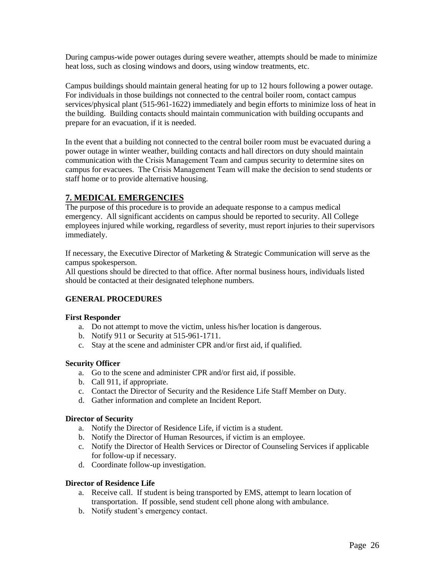During campus-wide power outages during severe weather, attempts should be made to minimize heat loss, such as closing windows and doors, using window treatments, etc.

Campus buildings should maintain general heating for up to 12 hours following a power outage. For individuals in those buildings not connected to the central boiler room, contact campus services/physical plant (515-961-1622) immediately and begin efforts to minimize loss of heat in the building. Building contacts should maintain communication with building occupants and prepare for an evacuation, if it is needed.

In the event that a building not connected to the central boiler room must be evacuated during a power outage in winter weather, building contacts and hall directors on duty should maintain communication with the Crisis Management Team and campus security to determine sites on campus for evacuees. The Crisis Management Team will make the decision to send students or staff home or to provide alternative housing.

# <span id="page-25-0"></span>**7. MEDICAL EMERGENCIES**

The purpose of this procedure is to provide an adequate response to a campus medical emergency. All significant accidents on campus should be reported to security. All College employees injured while working, regardless of severity, must report injuries to their supervisors immediately.

If necessary, the Executive Director of Marketing & Strategic Communication will serve as the campus spokesperson.

All questions should be directed to that office. After normal business hours, individuals listed should be contacted at their designated telephone numbers.

#### **GENERAL PROCEDURES**

#### **First Responder**

- a. Do not attempt to move the victim, unless his/her location is dangerous.
- b. Notify 911 or Security at 515-961-1711.
- c. Stay at the scene and administer CPR and/or first aid, if qualified.

#### **Security Officer**

- a. Go to the scene and administer CPR and/or first aid, if possible.
- b. Call 911, if appropriate.
- c. Contact the Director of Security and the Residence Life Staff Member on Duty.
- d. Gather information and complete an Incident Report.

#### **Director of Security**

- a. Notify the Director of Residence Life, if victim is a student.
- b. Notify the Director of Human Resources, if victim is an employee.
- c. Notify the Director of Health Services or Director of Counseling Services if applicable for follow-up if necessary.
- d. Coordinate follow-up investigation.

#### **Director of Residence Life**

- a. Receive call. If student is being transported by EMS, attempt to learn location of transportation. If possible, send student cell phone along with ambulance.
- b. Notify student's emergency contact.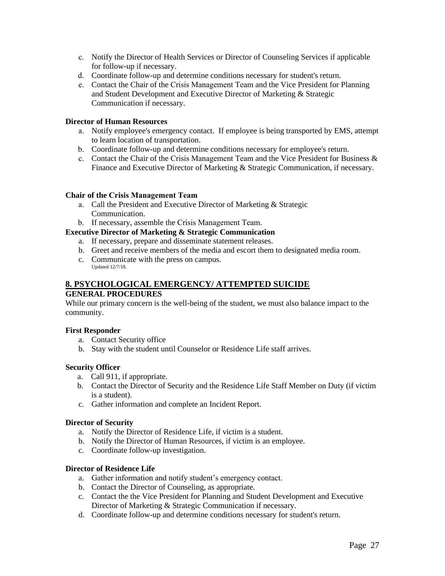- c. Notify the Director of Health Services or Director of Counseling Services if applicable for follow-up if necessary.
- d. Coordinate follow-up and determine conditions necessary for student's return.
- e. Contact the Chair of the Crisis Management Team and the Vice President for Planning and Student Development and Executive Director of Marketing & Strategic Communication if necessary.

### **Director of Human Resources**

- a. Notify employee's emergency contact. If employee is being transported by EMS, attempt to learn location of transportation.
- b. Coordinate follow-up and determine conditions necessary for employee's return.
- c. Contact the Chair of the Crisis Management Team and the Vice President for Business  $\&$ Finance and Executive Director of Marketing & Strategic Communication, if necessary.

### **Chair of the Crisis Management Team**

- a. Call the President and Executive Director of Marketing & Strategic Communication.
- b. If necessary, assemble the Crisis Management Team.

### **Executive Director of Marketing & Strategic Communication**

- a. If necessary, prepare and disseminate statement releases.
- b. Greet and receive members of the media and escort them to designated media room.
- c. Communicate with the press on campus. Updated 12/7/18.

# <span id="page-26-0"></span>**8. PSYCHOLOGICAL EMERGENCY/ ATTEMPTED SUICIDE**

# **GENERAL PROCEDURES**

While our primary concern is the well-being of the student, we must also balance impact to the community.

#### **First Responder**

- a. Contact Security office
- b. Stay with the student until Counselor or Residence Life staff arrives.

# **Security Officer**

- a. Call 911, if appropriate.
- b. Contact the Director of Security and the Residence Life Staff Member on Duty (if victim is a student).
- c. Gather information and complete an Incident Report.

#### **Director of Security**

- a. Notify the Director of Residence Life, if victim is a student.
- b. Notify the Director of Human Resources, if victim is an employee.
- c. Coordinate follow-up investigation.

#### **Director of Residence Life**

- a. Gather information and notify student's emergency contact.
- b. Contact the Director of Counseling, as appropriate.
- c. Contact the the Vice President for Planning and Student Development and Executive Director of Marketing & Strategic Communication if necessary.
- d. Coordinate follow-up and determine conditions necessary for student's return.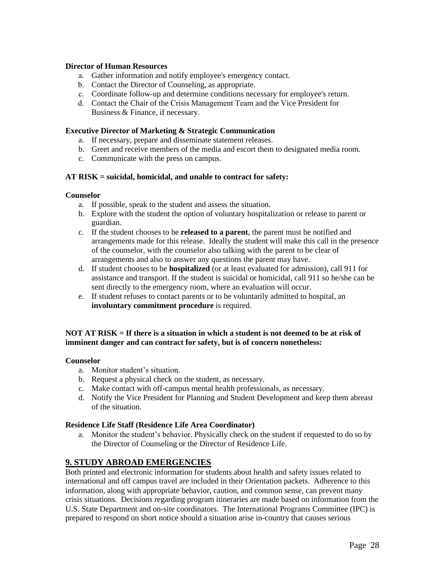#### **Director of Human Resources**

- a. Gather information and notify employee's emergency contact.
- b. Contact the Director of Counseling, as appropriate.
- c. Coordinate follow-up and determine conditions necessary for employee's return.
- d. Contact the Chair of the Crisis Management Team and the Vice President for Business & Finance, if necessary.

#### **Executive Director of Marketing & Strategic Communication**

- a. If necessary, prepare and disseminate statement releases.
- b. Greet and receive members of the media and escort them to designated media room.
- c. Communicate with the press on campus.

#### **AT RISK = suicidal, homicidal, and unable to contract for safety:**

#### **Counselor**

- a. If possible, speak to the student and assess the situation.
- b. Explore with the student the option of voluntary hospitalization or release to parent or guardian.
- c. If the student chooses to be **released to a parent**, the parent must be notified and arrangements made for this release. Ideally the student will make this call in the presence of the counselor, with the counselor also talking with the parent to be clear of arrangements and also to answer any questions the parent may have.
- d. If student chooses to be **hospitalized** (or at least evaluated for admission), call 911 for assistance and transport. If the student is suicidal or homicidal, call 911 so he/she can be sent directly to the emergency room, where an evaluation will occur.
- e. If student refuses to contact parents or to be voluntarily admitted to hospital, an **involuntary commitment procedure** is required.

### **NOT AT RISK = If there is a situation in which a student is not deemed to be at risk of imminent danger and can contract for safety, but is of concern nonetheless:**

#### **Counselor**

- a. Monitor student's situation.
- b. Request a physical check on the student, as necessary.
- c. Make contact with off-campus mental health professionals, as necessary.
- d. Notify the Vice President for Planning and Student Development and keep them abreast of the situation.

#### **Residence Life Staff (Residence Life Area Coordinator)**

a. Monitor the student's behavior. Physically check on the student if requested to do so by the Director of Counseling or the Director of Residence Life.

# <span id="page-27-0"></span>**9. STUDY ABROAD EMERGENCIES**

Both printed and electronic information for students about health and safety issues related to international and off campus travel are included in their Orientation packets. Adherence to this information, along with appropriate behavior, caution, and common sense, can prevent many crisis situations. Decisions regarding program itineraries are made based on information from the U.S. State Department and on-site coordinators. The International Programs Committee (IPC) is prepared to respond on short notice should a situation arise in-country that causes serious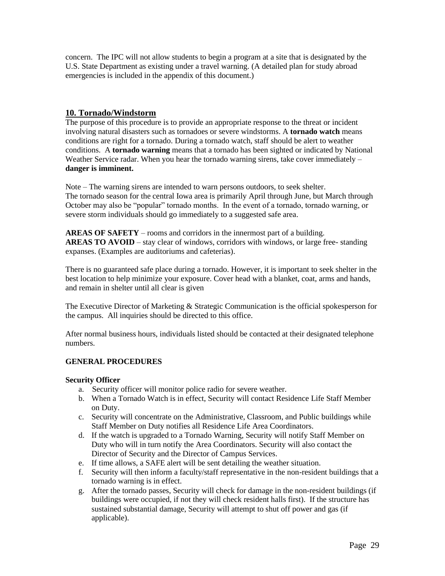concern. The IPC will not allow students to begin a program at a site that is designated by the U.S. State Department as existing under a travel warning. (A detailed plan for study abroad emergencies is included in the appendix of this document.)

# <span id="page-28-0"></span>**10. Tornado/Windstorm**

The purpose of this procedure is to provide an appropriate response to the threat or incident involving natural disasters such as tornadoes or severe windstorms. A **tornado watch** means conditions are right for a tornado. During a tornado watch, staff should be alert to weather conditions. A **tornado warning** means that a tornado has been sighted or indicated by National Weather Service radar. When you hear the tornado warning sirens, take cover immediately  $$ **danger is imminent.**

Note – The warning sirens are intended to warn persons outdoors, to seek shelter. The tornado season for the central Iowa area is primarily April through June, but March through October may also be "popular" tornado months. In the event of a tornado, tornado warning, or severe storm individuals should go immediately to a suggested safe area.

**AREAS OF SAFETY** – rooms and corridors in the innermost part of a building. **AREAS TO AVOID** – stay clear of windows, corridors with windows, or large free- standing expanses. (Examples are auditoriums and cafeterias).

There is no guaranteed safe place during a tornado. However, it is important to seek shelter in the best location to help minimize your exposure. Cover head with a blanket, coat, arms and hands, and remain in shelter until all clear is given

The Executive Director of Marketing & Strategic Communication is the official spokesperson for the campus. All inquiries should be directed to this office.

After normal business hours, individuals listed should be contacted at their designated telephone numbers.

# **GENERAL PROCEDURES**

#### **Security Officer**

- a. Security officer will monitor police radio for severe weather.
- b. When a Tornado Watch is in effect, Security will contact Residence Life Staff Member on Duty.
- c. Security will concentrate on the Administrative, Classroom, and Public buildings while Staff Member on Duty notifies all Residence Life Area Coordinators.
- d. If the watch is upgraded to a Tornado Warning, Security will notify Staff Member on Duty who will in turn notify the Area Coordinators. Security will also contact the Director of Security and the Director of Campus Services.
- e. If time allows, a SAFE alert will be sent detailing the weather situation.
- f. Security will then inform a faculty/staff representative in the non-resident buildings that a tornado warning is in effect.
- g. After the tornado passes, Security will check for damage in the non-resident buildings (if buildings were occupied, if not they will check resident halls first). If the structure has sustained substantial damage, Security will attempt to shut off power and gas (if applicable).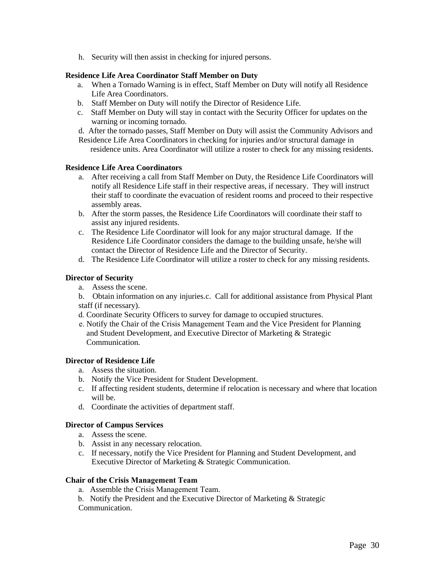h. Security will then assist in checking for injured persons.

### **Residence Life Area Coordinator Staff Member on Duty**

- a. When a Tornado Warning is in effect, Staff Member on Duty will notify all Residence Life Area Coordinators.
- b. Staff Member on Duty will notify the Director of Residence Life.
- c. Staff Member on Duty will stay in contact with the Security Officer for updates on the warning or incoming tornado.
- d. After the tornado passes, Staff Member on Duty will assist the Community Advisors and Residence Life Area Coordinators in checking for injuries and/or structural damage in
- residence units. Area Coordinator will utilize a roster to check for any missing residents.

### **Residence Life Area Coordinators**

- a. After receiving a call from Staff Member on Duty, the Residence Life Coordinators will notify all Residence Life staff in their respective areas, if necessary. They will instruct their staff to coordinate the evacuation of resident rooms and proceed to their respective assembly areas.
- b. After the storm passes, the Residence Life Coordinators will coordinate their staff to assist any injured residents.
- c. The Residence Life Coordinator will look for any major structural damage. If the Residence Life Coordinator considers the damage to the building unsafe, he/she will contact the Director of Residence Life and the Director of Security.
- d. The Residence Life Coordinator will utilize a roster to check for any missing residents.

### **Director of Security**

- a. Assess the scene.
- b. Obtain information on any injuries.c. Call for additional assistance from Physical Plant staff (if necessary).
- d. Coordinate Security Officers to survey for damage to occupied structures.
- e. Notify the Chair of the Crisis Management Team and the Vice President for Planning and Student Development, and Executive Director of Marketing & Strategic Communication.

#### **Director of Residence Life**

- a. Assess the situation.
- b. Notify the Vice President for Student Development.
- c. If affecting resident students, determine if relocation is necessary and where that location will be.
- d. Coordinate the activities of department staff.

#### **Director of Campus Services**

- a. Assess the scene.
- b. Assist in any necessary relocation.
- c. If necessary, notify the Vice President for Planning and Student Development, and Executive Director of Marketing & Strategic Communication.

#### **Chair of the Crisis Management Team**

a. Assemble the Crisis Management Team.

b. Notify the President and the Executive Director of Marketing & Strategic Communication.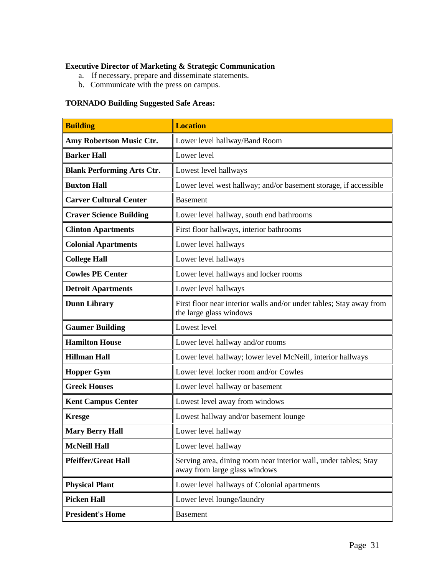### **Executive Director of Marketing & Strategic Communication**

- a. If necessary, prepare and disseminate statements.
- b. Communicate with the press on campus.

# **TORNADO Building Suggested Safe Areas:**

| <b>Building</b>                   | <b>Location</b>                                                                                   |
|-----------------------------------|---------------------------------------------------------------------------------------------------|
| Amy Robertson Music Ctr.          | Lower level hallway/Band Room                                                                     |
| <b>Barker Hall</b>                | Lower level                                                                                       |
| <b>Blank Performing Arts Ctr.</b> | Lowest level hallways                                                                             |
| <b>Buxton Hall</b>                | Lower level west hallway; and/or basement storage, if accessible                                  |
| <b>Carver Cultural Center</b>     | <b>Basement</b>                                                                                   |
| <b>Craver Science Building</b>    | Lower level hallway, south end bathrooms                                                          |
| <b>Clinton Apartments</b>         | First floor hallways, interior bathrooms                                                          |
| <b>Colonial Apartments</b>        | Lower level hallways                                                                              |
| <b>College Hall</b>               | Lower level hallways                                                                              |
| <b>Cowles PE Center</b>           | Lower level hallways and locker rooms                                                             |
| <b>Detroit Apartments</b>         | Lower level hallways                                                                              |
| <b>Dunn Library</b>               | First floor near interior walls and/or under tables; Stay away from<br>the large glass windows    |
| <b>Gaumer Building</b>            | Lowest level                                                                                      |
| <b>Hamilton House</b>             | Lower level hallway and/or rooms                                                                  |
| <b>Hillman Hall</b>               | Lower level hallway; lower level McNeill, interior hallways                                       |
| <b>Hopper Gym</b>                 | Lower level locker room and/or Cowles                                                             |
| <b>Greek Houses</b>               | Lower level hallway or basement                                                                   |
| <b>Kent Campus Center</b>         | Lowest level away from windows                                                                    |
| <b>Kresge</b>                     | Lowest hallway and/or basement lounge                                                             |
| <b>Mary Berry Hall</b>            | Lower level hallway                                                                               |
| <b>McNeill Hall</b>               | Lower level hallway                                                                               |
| <b>Pfeiffer/Great Hall</b>        | Serving area, dining room near interior wall, under tables; Stay<br>away from large glass windows |
| <b>Physical Plant</b>             | Lower level hallways of Colonial apartments                                                       |
| <b>Picken Hall</b>                | Lower level lounge/laundry                                                                        |
| <b>President's Home</b>           | <b>Basement</b>                                                                                   |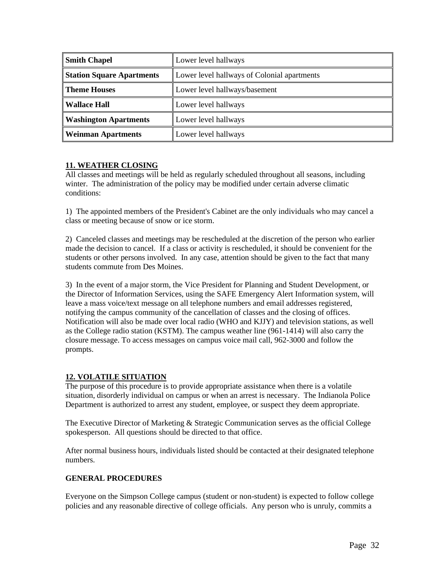| <b>Smith Chapel</b>              | Lower level hallways                        |
|----------------------------------|---------------------------------------------|
| <b>Station Square Apartments</b> | Lower level hallways of Colonial apartments |
| <b>Theme Houses</b>              | Lower level hallways/basement               |
| <b>Wallace Hall</b>              | Lower level hallways                        |
| <b>Washington Apartments</b>     | Lower level hallways                        |
| <b>Weinman Apartments</b>        | Lower level hallways                        |

# <span id="page-31-0"></span>**11. WEATHER CLOSING**

All classes and meetings will be held as regularly scheduled throughout all seasons, including winter. The administration of the policy may be modified under certain adverse climatic conditions:

1) The appointed members of the President's Cabinet are the only individuals who may cancel a class or meeting because of snow or ice storm.

2) Canceled classes and meetings may be rescheduled at the discretion of the person who earlier made the decision to cancel. If a class or activity is rescheduled, it should be convenient for the students or other persons involved. In any case, attention should be given to the fact that many students commute from Des Moines.

3) In the event of a major storm, the Vice President for Planning and Student Development, or the Director of Information Services, using the SAFE Emergency Alert Information system, will leave a mass voice/text message on all telephone numbers and email addresses registered, notifying the campus community of the cancellation of classes and the closing of offices. Notification will also be made over local radio (WHO and KJJY) and television stations, as well as the College radio station (KSTM). The campus weather line (961-1414) will also carry the closure message. To access messages on campus voice mail call, 962-3000 and follow the prompts.

#### <span id="page-31-1"></span>**12. VOLATILE SITUATION**

The purpose of this procedure is to provide appropriate assistance when there is a volatile situation, disorderly individual on campus or when an arrest is necessary. The Indianola Police Department is authorized to arrest any student, employee, or suspect they deem appropriate.

The Executive Director of Marketing & Strategic Communication serves as the official College spokesperson. All questions should be directed to that office.

After normal business hours, individuals listed should be contacted at their designated telephone numbers.

#### **GENERAL PROCEDURES**

Everyone on the Simpson College campus (student or non-student) is expected to follow college policies and any reasonable directive of college officials. Any person who is unruly, commits a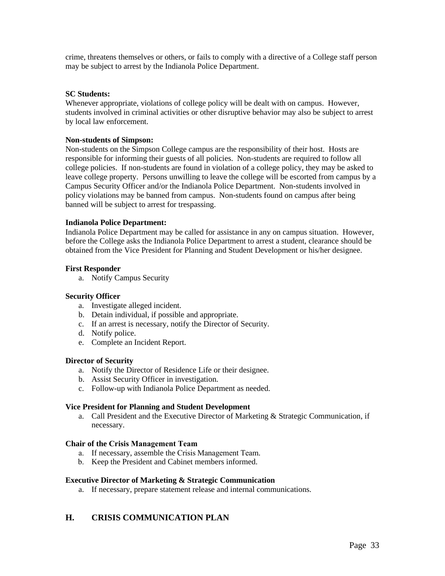crime, threatens themselves or others, or fails to comply with a directive of a College staff person may be subject to arrest by the Indianola Police Department.

#### **SC Students:**

Whenever appropriate, violations of college policy will be dealt with on campus. However, students involved in criminal activities or other disruptive behavior may also be subject to arrest by local law enforcement.

#### **Non-students of Simpson:**

Non-students on the Simpson College campus are the responsibility of their host. Hosts are responsible for informing their guests of all policies. Non-students are required to follow all college policies. If non-students are found in violation of a college policy, they may be asked to leave college property. Persons unwilling to leave the college will be escorted from campus by a Campus Security Officer and/or the Indianola Police Department. Non-students involved in policy violations may be banned from campus. Non-students found on campus after being banned will be subject to arrest for trespassing.

#### **Indianola Police Department:**

Indianola Police Department may be called for assistance in any on campus situation. However, before the College asks the Indianola Police Department to arrest a student, clearance should be obtained from the Vice President for Planning and Student Development or his/her designee.

#### **First Responder**

a. Notify Campus Security

#### **Security Officer**

- a. Investigate alleged incident.
- b. Detain individual, if possible and appropriate.
- c. If an arrest is necessary, notify the Director of Security.
- d. Notify police.
- e. Complete an Incident Report.

#### **Director of Security**

- a. Notify the Director of Residence Life or their designee.
- b. Assist Security Officer in investigation.
- c. Follow-up with Indianola Police Department as needed.

#### **Vice President for Planning and Student Development**

a. Call President and the Executive Director of Marketing & Strategic Communication, if necessary.

#### **Chair of the Crisis Management Team**

- a. If necessary, assemble the Crisis Management Team.
- b. Keep the President and Cabinet members informed.

#### **Executive Director of Marketing & Strategic Communication**

a. If necessary, prepare statement release and internal communications.

# <span id="page-32-0"></span>**H. CRISIS COMMUNICATION PLAN**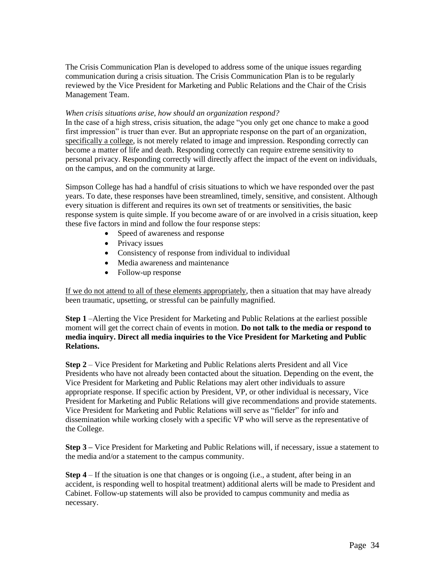The Crisis Communication Plan is developed to address some of the unique issues regarding communication during a crisis situation. The Crisis Communication Plan is to be regularly reviewed by the Vice President for Marketing and Public Relations and the Chair of the Crisis Management Team.

#### *When crisis situations arise, how should an organization respond?*

In the case of a high stress, crisis situation, the adage "you only get one chance to make a good first impression" is truer than ever. But an appropriate response on the part of an organization, specifically a college, is not merely related to image and impression. Responding correctly can become a matter of life and death. Responding correctly can require extreme sensitivity to personal privacy. Responding correctly will directly affect the impact of the event on individuals, on the campus, and on the community at large.

Simpson College has had a handful of crisis situations to which we have responded over the past years. To date, these responses have been streamlined, timely, sensitive, and consistent. Although every situation is different and requires its own set of treatments or sensitivities, the basic response system is quite simple. If you become aware of or are involved in a crisis situation, keep these five factors in mind and follow the four response steps:

- Speed of awareness and response
- Privacy issues
- Consistency of response from individual to individual
- Media awareness and maintenance
- Follow-up response

If we do not attend to all of these elements appropriately, then a situation that may have already been traumatic, upsetting, or stressful can be painfully magnified.

**Step 1** –Alerting the Vice President for Marketing and Public Relations at the earliest possible moment will get the correct chain of events in motion. **Do not talk to the media or respond to media inquiry. Direct all media inquiries to the Vice President for Marketing and Public Relations.**

**Step 2** – Vice President for Marketing and Public Relations alerts President and all Vice Presidents who have not already been contacted about the situation. Depending on the event, the Vice President for Marketing and Public Relations may alert other individuals to assure appropriate response. If specific action by President, VP, or other individual is necessary, Vice President for Marketing and Public Relations will give recommendations and provide statements. Vice President for Marketing and Public Relations will serve as "fielder" for info and dissemination while working closely with a specific VP who will serve as the representative of the College.

**Step 3 –** Vice President for Marketing and Public Relations will, if necessary, issue a statement to the media and/or a statement to the campus community.

**Step 4** – If the situation is one that changes or is ongoing (i.e., a student, after being in an accident, is responding well to hospital treatment) additional alerts will be made to President and Cabinet. Follow-up statements will also be provided to campus community and media as necessary.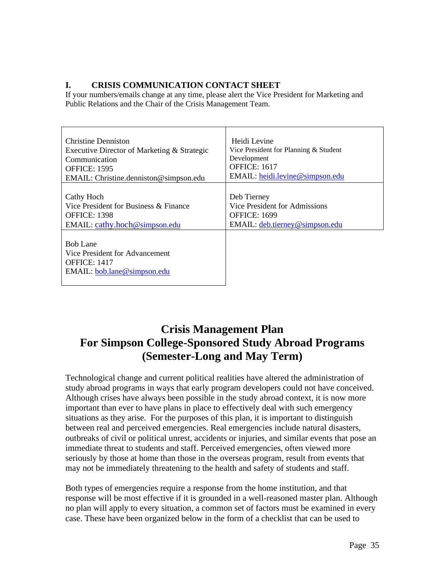# <span id="page-34-0"></span>**I. CRISIS COMMUNICATION CONTACT SHEET**

If your numbers/emails change at any time, please alert the Vice President for Marketing and Public Relations and the Chair of the Crisis Management Team.

| Christine Denniston                                                                              | Heidi Levine                          |
|--------------------------------------------------------------------------------------------------|---------------------------------------|
| Executive Director of Marketing & Strategic                                                      | Vice President for Planning & Student |
| Communication                                                                                    | Development                           |
| <b>OFFICE: 1595</b>                                                                              | <b>OFFICE: 1617</b>                   |
| EMAIL: Christine.denniston@simpson.edu                                                           | EMAIL: heidi.levine@simpson.edu       |
| Cathy Hoch                                                                                       | Deb Tierney                           |
| Vice President for Business $\&$ Finance                                                         | Vice President for Admissions         |
| <b>OFFICE: 1398</b>                                                                              | <b>OFFICE: 1699</b>                   |
| EMAIL: cathy.hoch@simpson.edu                                                                    | EMAIL: deb.tierney@simpson.edu        |
| Bob Lane<br>Vice President for Advancement<br><b>OFFICE: 1417</b><br>EMAIL: bob.lane@simpson.edu |                                       |

# <span id="page-34-1"></span>**Crisis Management Plan For Simpson College-Sponsored Study Abroad Programs (Semester-Long and May Term)**

Technological change and current political realities have altered the administration of study abroad programs in ways that early program developers could not have conceived. Although crises have always been possible in the study abroad context, it is now more important than ever to have plans in place to effectively deal with such emergency situations as they arise. For the purposes of this plan, it is important to distinguish between real and perceived emergencies. Real emergencies include natural disasters, outbreaks of civil or political unrest, accidents or injuries, and similar events that pose an immediate threat to students and staff. Perceived emergencies, often viewed more seriously by those at home than those in the overseas program, result from events that may not be immediately threatening to the health and safety of students and staff.

Both types of emergencies require a response from the home institution, and that response will be most effective if it is grounded in a well-reasoned master plan. Although no plan will apply to every situation, a common set of factors must be examined in every case. These have been organized below in the form of a checklist that can be used to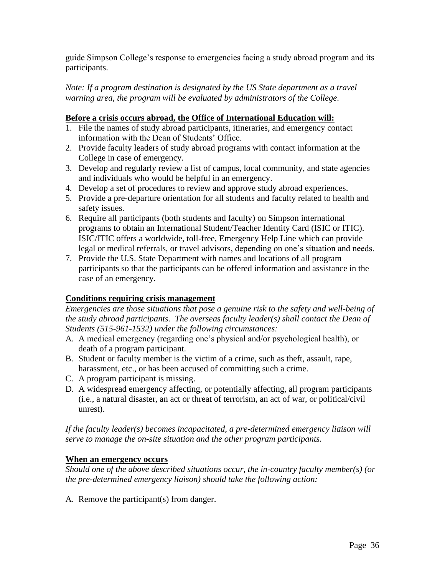guide Simpson College's response to emergencies facing a study abroad program and its participants.

*Note: If a program destination is designated by the US State department as a travel warning area, the program will be evaluated by administrators of the College.*

# **Before a crisis occurs abroad, the Office of International Education will:**

- 1. File the names of study abroad participants, itineraries, and emergency contact information with the Dean of Students' Office.
- 2. Provide faculty leaders of study abroad programs with contact information at the College in case of emergency.
- 3. Develop and regularly review a list of campus, local community, and state agencies and individuals who would be helpful in an emergency.
- 4. Develop a set of procedures to review and approve study abroad experiences.
- 5. Provide a pre-departure orientation for all students and faculty related to health and safety issues.
- 6. Require all participants (both students and faculty) on Simpson international programs to obtain an International Student/Teacher Identity Card (ISIC or ITIC). ISIC/ITIC offers a worldwide, toll-free, Emergency Help Line which can provide legal or medical referrals, or travel advisors, depending on one's situation and needs.
- 7. Provide the U.S. State Department with names and locations of all program participants so that the participants can be offered information and assistance in the case of an emergency.

# **Conditions requiring crisis management**

*Emergencies are those situations that pose a genuine risk to the safety and well-being of the study abroad participants. The overseas faculty leader(s) shall contact the Dean of Students (515-961-1532) under the following circumstances:*

- A. A medical emergency (regarding one's physical and/or psychological health), or death of a program participant.
- B. Student or faculty member is the victim of a crime, such as theft, assault, rape, harassment, etc., or has been accused of committing such a crime.
- C. A program participant is missing.
- D. A widespread emergency affecting, or potentially affecting, all program participants (i.e., a natural disaster, an act or threat of terrorism, an act of war, or political/civil unrest).

*If the faculty leader(s) becomes incapacitated, a pre-determined emergency liaison will serve to manage the on-site situation and the other program participants.*

# **When an emergency occurs**

*Should one of the above described situations occur, the in-country faculty member(s) (or the pre-determined emergency liaison) should take the following action:*

A. Remove the participant(s) from danger.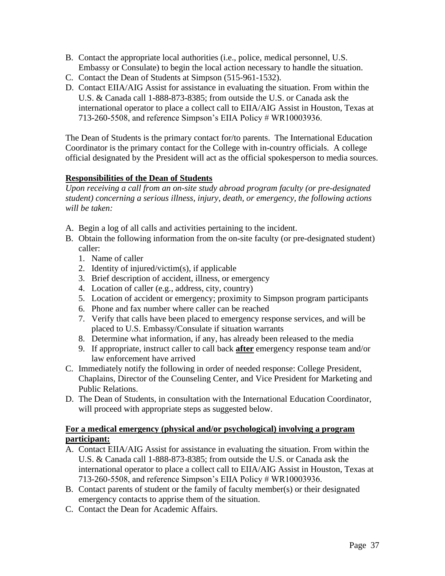- B. Contact the appropriate local authorities (i.e., police, medical personnel, U.S. Embassy or Consulate) to begin the local action necessary to handle the situation.
- C. Contact the Dean of Students at Simpson (515-961-1532).
- D. Contact EIIA/AIG Assist for assistance in evaluating the situation. From within the U.S. & Canada call 1-888-873-8385; from outside the U.S. or Canada ask the international operator to place a collect call to EIIA/AIG Assist in Houston, Texas at 713-260-5508, and reference Simpson's EIIA Policy # WR10003936.

The Dean of Students is the primary contact for/to parents. The International Education Coordinator is the primary contact for the College with in-country officials. A college official designated by the President will act as the official spokesperson to media sources.

# **Responsibilities of the Dean of Students**

*Upon receiving a call from an on-site study abroad program faculty (or pre-designated student) concerning a serious illness, injury, death, or emergency, the following actions will be taken:*

- A. Begin a log of all calls and activities pertaining to the incident.
- B. Obtain the following information from the on-site faculty (or pre-designated student) caller:
	- 1. Name of caller
	- 2. Identity of injured/victim(s), if applicable
	- 3. Brief description of accident, illness, or emergency
	- 4. Location of caller (e.g., address, city, country)
	- 5. Location of accident or emergency; proximity to Simpson program participants
	- 6. Phone and fax number where caller can be reached
	- 7. Verify that calls have been placed to emergency response services, and will be placed to U.S. Embassy/Consulate if situation warrants
	- 8. Determine what information, if any, has already been released to the media
	- 9. If appropriate, instruct caller to call back **after** emergency response team and/or law enforcement have arrived
- C. Immediately notify the following in order of needed response: College President, Chaplains, Director of the Counseling Center, and Vice President for Marketing and Public Relations.
- D. The Dean of Students, in consultation with the International Education Coordinator, will proceed with appropriate steps as suggested below.

# **For a medical emergency (physical and/or psychological) involving a program participant:**

- A. Contact EIIA/AIG Assist for assistance in evaluating the situation. From within the U.S. & Canada call 1-888-873-8385; from outside the U.S. or Canada ask the international operator to place a collect call to EIIA/AIG Assist in Houston, Texas at 713-260-5508, and reference Simpson's EIIA Policy # WR10003936.
- B. Contact parents of student or the family of faculty member(s) or their designated emergency contacts to apprise them of the situation.
- C. Contact the Dean for Academic Affairs.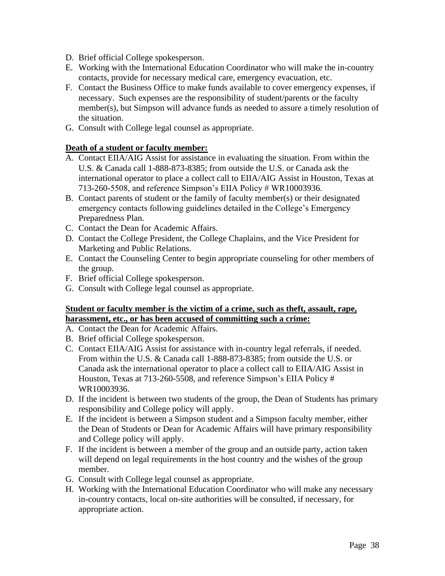- D. Brief official College spokesperson.
- E. Working with the International Education Coordinator who will make the in-country contacts, provide for necessary medical care, emergency evacuation, etc.
- F. Contact the Business Office to make funds available to cover emergency expenses, if necessary. Such expenses are the responsibility of student/parents or the faculty member(s), but Simpson will advance funds as needed to assure a timely resolution of the situation.
- G. Consult with College legal counsel as appropriate.

# **Death of a student or faculty member:**

- A. Contact EIIA/AIG Assist for assistance in evaluating the situation. From within the U.S. & Canada call 1-888-873-8385; from outside the U.S. or Canada ask the international operator to place a collect call to EIIA/AIG Assist in Houston, Texas at 713-260-5508, and reference Simpson's EIIA Policy # WR10003936.
- B. Contact parents of student or the family of faculty member(s) or their designated emergency contacts following guidelines detailed in the College's Emergency Preparedness Plan.
- C. Contact the Dean for Academic Affairs.
- D. Contact the College President, the College Chaplains, and the Vice President for Marketing and Public Relations.
- E. Contact the Counseling Center to begin appropriate counseling for other members of the group.
- F. Brief official College spokesperson.
- G. Consult with College legal counsel as appropriate.

# **Student or faculty member is the victim of a crime, such as theft, assault, rape, harassment, etc., or has been accused of committing such a crime:**

- A. Contact the Dean for Academic Affairs.
- B. Brief official College spokesperson.
- C. Contact EIIA/AIG Assist for assistance with in-country legal referrals, if needed. From within the U.S. & Canada call 1-888-873-8385; from outside the U.S. or Canada ask the international operator to place a collect call to EIIA/AIG Assist in Houston, Texas at 713-260-5508, and reference Simpson's EIIA Policy # WR10003936.
- D. If the incident is between two students of the group, the Dean of Students has primary responsibility and College policy will apply.
- E. If the incident is between a Simpson student and a Simpson faculty member, either the Dean of Students or Dean for Academic Affairs will have primary responsibility and College policy will apply.
- F. If the incident is between a member of the group and an outside party, action taken will depend on legal requirements in the host country and the wishes of the group member.
- G. Consult with College legal counsel as appropriate.
- H. Working with the International Education Coordinator who will make any necessary in-country contacts, local on-site authorities will be consulted, if necessary, for appropriate action.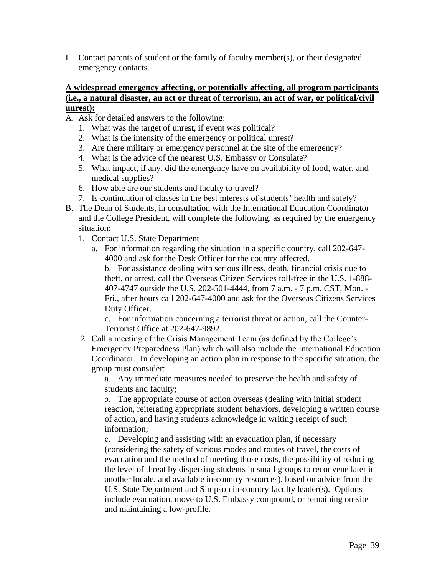I. Contact parents of student or the family of faculty member(s), or their designated emergency contacts.

# **A widespread emergency affecting, or potentially affecting, all program participants (i.e., a natural disaster, an act or threat of terrorism, an act of war, or political/civil unrest):**

- A. Ask for detailed answers to the following:
	- 1. What was the target of unrest, if event was political?
	- 2. What is the intensity of the emergency or political unrest?
	- 3. Are there military or emergency personnel at the site of the emergency?
	- 4. What is the advice of the nearest U.S. Embassy or Consulate?
	- 5. What impact, if any, did the emergency have on availability of food, water, and medical supplies?
	- 6. How able are our students and faculty to travel?
	- 7. Is continuation of classes in the best interests of students' health and safety?
- B. The Dean of Students, in consultation with the International Education Coordinator and the College President, will complete the following, as required by the emergency situation:
	- 1. Contact U.S. State Department
		- a. For information regarding the situation in a specific country, call 202-647- 4000 and ask for the Desk Officer for the country affected.

b. For assistance dealing with serious illness, death, financial crisis due to theft, or arrest, call the Overseas Citizen Services toll-free in the U.S. 1-888- 407-4747 outside the U.S. 202-501-4444, from 7 a.m. - 7 p.m. CST, Mon. - Fri., after hours call 202-647-4000 and ask for the Overseas Citizens Services Duty Officer.

c. For information concerning a terrorist threat or action, call the Counter-Terrorist Office at 202-647-9892.

2. Call a meeting of the Crisis Management Team (as defined by the College's Emergency Preparedness Plan) which will also include the International Education Coordinator. In developing an action plan in response to the specific situation, the group must consider:

a. Any immediate measures needed to preserve the health and safety of students and faculty;

b. The appropriate course of action overseas (dealing with initial student reaction, reiterating appropriate student behaviors, developing a written course of action, and having students acknowledge in writing receipt of such information;

c. Developing and assisting with an evacuation plan, if necessary (considering the safety of various modes and routes of travel, the costs of evacuation and the method of meeting those costs, the possibility of reducing the level of threat by dispersing students in small groups to reconvene later in another locale, and available in-country resources), based on advice from the U.S. State Department and Simpson in-country faculty leader(s). Options include evacuation, move to U.S. Embassy compound, or remaining on-site and maintaining a low-profile.